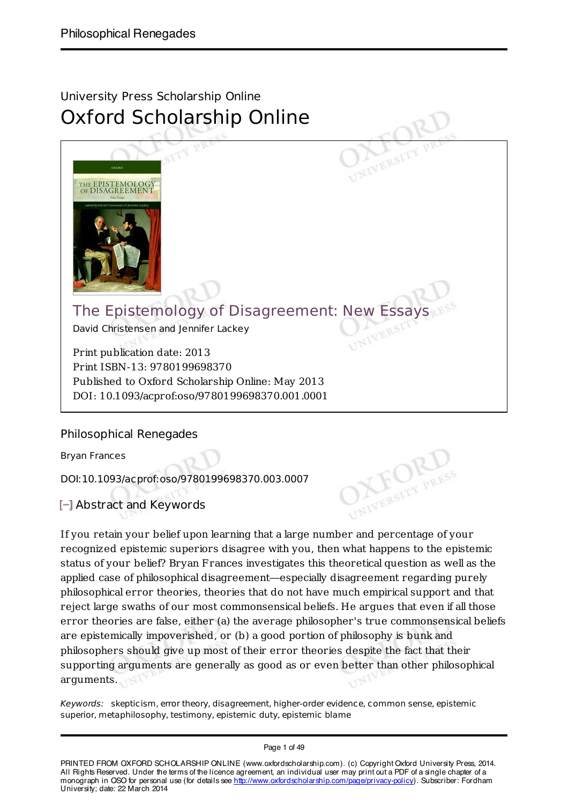# University Press Scholarship Online Oxford Scholarship Online



# The Epistemology of Disagreement: New Essay

UNIVERSI

ONIVERSITY

David Christensen and Jennifer Lackey

Print publication date: 2013 Print ISBN-13: 9780199698370 Published to Oxford Scholarship Online: May 2013 DOI: 10.1093/acprof:oso/9780199698370.001.0001

# Philosophical Renegades

Bryan Frances

DOI:10.1093/acprof:oso/9780199698370.003.0007

[-] Abstract and Keywords

If you retain your belief upon learning that a large number and percentage of your recognized epistemic superiors disagree with you, then what happens to the epistemic status of your belief? Bryan Frances investigates this theoretical question as well as the applied case of philosophical disagreement—especially disagreement regarding purely philosophical error theories, theories that do not have much empirical support and that reject large swaths of our most commonsensical beliefs. He argues that even if all those error theories are false, either (a) the average philosopher's true commonsensical beliefs are epistemically impoverished, or (b) a good portion of philosophy is bunk and philosophers should give up most of their error theories despite the fact that their supporting arguments are generally as good as or even better than other philosophical arguments.

Keywords: skepticism, error theory, disagreement, higher-order evidence, common sense, epistemic superior, metaphilosophy, testimony, epistemic duty, epistemic blame

Page 1 of 49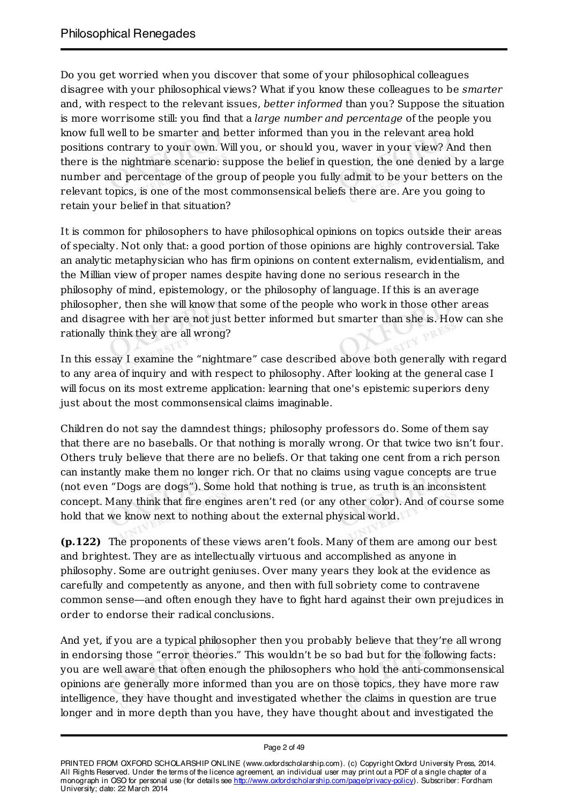Do you get worried when you discover that some of your philosophical colleagues disagree with your philosophical views? What if you know these colleagues to be smarter and, with respect to the relevant issues, better informed than you? Suppose the situation is more worrisome still: you find that a *large number and percentage* of the people you know full well to be smarter and better informed than you in the relevant area hold positions contrary to your own. Will you, or should you, waver in your view? And then there is the nightmare scenario: suppose the belief in question, the one denied by a large number and percentage of the group of people you fully admit to be your betters on the relevant topics, is one of the most commonsensical beliefs there are. Are you going to retain your belief in that situation?

It is common for philosophers to have philosophical opinions on topics outside their areas of specialty. Not only that: a good portion of those opinions are highly controversial. Take an analytic metaphysician who has firm opinions on content externalism, evidentialism, and the Millian view of proper names despite having done no serious research in the philosophy of mind, epistemology, or the philosophy of language. If this is an average philosopher, then she will know that some of the people who work in those other areas and disagree with her are not just better informed but smarter than she is. How can she rationally think they are all wrong?

In this essay I examine the "nightmare" case described above both generally with regard to any area of inquiry and with respect to philosophy. After looking at the general case I will focus on its most extreme application: learning that one's epistemic superiors deny just about the most commonsensical claims imaginable.

Children do not say the damndest things; philosophy professors do. Some of them say that there are no baseballs. Or that nothing is morally wrong. Or that twice two isn't four. Others truly believe that there are no beliefs. Or that taking one cent from a rich person can instantly make them no longer rich. Or that no claims using vague concepts are true (not even "Dogs are dogs"). Some hold that nothing is true, as truth is an inconsistent concept. Many think that fire engines aren't red (or any other color). And of course some hold that we know next to nothing about the external physical world.

**(p.122)** The proponents of these views aren't fools. Many of them are among our best and brightest. They are as intellectually virtuous and accomplished as anyone in philosophy. Some are outright geniuses. Over many years they look at the evidence as carefully and competently as anyone, and then with full sobriety come to contravene common sense—and often enough they have to fight hard against their own prejudices in order to endorse their radical conclusions.

And yet, if you are a typical philosopher then you probably believe that they're all wrong in endorsing those "error theories." This wouldn't be so bad but for the following facts: you are well aware that often enough the philosophers who hold the anti-commonsensical opinions are generally more informed than you are on those topics, they have more raw intelligence, they have thought and investigated whether the claims in question are true longer and in more depth than you have, they have thought about and investigated the

Page 2 of 49

PRINTED FROM OXFORD SCHOLARSHIP ONLINE (www.oxfordscholarship.com). (c) Copyright Oxford University Press, 2014. All Rights Reserved. Under the terms of the licence agreement, an individual user may print out a PDF of a single chapter of a monograph in OSO for personal use (for details see http://www.oxfordscholarship.com/page/privacy-policy). Subscriber: Fordham University; date: 22 March 2014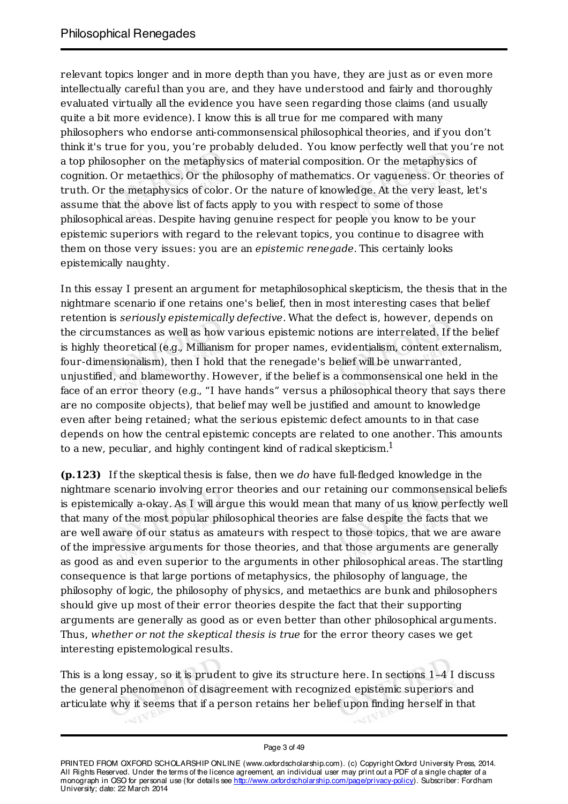relevant topics longer and in more depth than you have, they are just as or even more intellectually careful than you are, and they have understood and fairly and thoroughly evaluated virtually all the evidence you have seen regarding those claims (and usually quite a bit more evidence). I know this is all true for me compared with many philosophers who endorse anti-commonsensical philosophical theories, and if you don't think it's true for you, you're probably deluded. You know perfectly well that you're not a top philosopher on the metaphysics of material composition. Or the metaphysics of cognition. Or metaethics. Or the philosophy of mathematics. Or vagueness. Or theories of truth. Or the metaphysics of color. Or the nature of knowledge. At the very least, let's assume that the above list of facts apply to you with respect to some of those philosophical areas. Despite having genuine respect for people you know to be your epistemic superiors with regard to the relevant topics, you continue to disagree with them on those very issues: you are an *epistemic renegade*. This certainly looks epistemically naughty.

In this essay I present an argument for metaphilosophical skepticism, the thesis that in the nightmare scenario if one retains one's belief, then in most interesting cases that belief retention is seriously epistemically defective. What the defect is, however, depends on the circumstances as well as how various epistemic notions are interrelated. If the belief is highly theoretical (e.g., Millianism for proper names, evidentialism, content externalism, four-dimensionalism), then I hold that the renegade's belief will be unwarranted, unjustified, and blameworthy. However, if the belief is a commonsensical one held in the face of an error theory (e.g., "I have hands" versus a philosophical theory that says there are no composite objects), that belief may well be justified and amount to knowledge even after being retained; what the serious epistemic defect amounts to in that case depends on how the central epistemic concepts are related to one another. This amounts to a new, peculiar, and highly contingent kind of radical skepticism. $^{\rm 1}$ 

**(p.123)** If the skeptical thesis is false, then we do have full-fledged knowledge in the nightmare scenario involving error theories and our retaining our commonsensical beliefs is epistemically a-okay. As I will argue this would mean that many of us know perfectly well that many of the most popular philosophical theories are false despite the facts that we are well aware of our status as amateurs with respect to those topics, that we are aware of the impressive arguments for those theories, and that those arguments are generally as good as and even superior to the arguments in other philosophical areas. The startling consequence is that large portions of metaphysics, the philosophy of language, the philosophy of logic, the philosophy of physics, and metaethics are bunk and philosophers should give up most of their error theories despite the fact that their supporting arguments are generally as good as or even better than other philosophical arguments. Thus, whether or not the skeptical thesis is true for the error theory cases we get interesting epistemological results.

This is a long essay, so it is prudent to give its structure here. In sections 1–4 I discuss the general phenomenon of disagreement with recognized epistemic superiors and articulate why it seems that if a person retains her belief upon finding herself in that

Page 3 of 49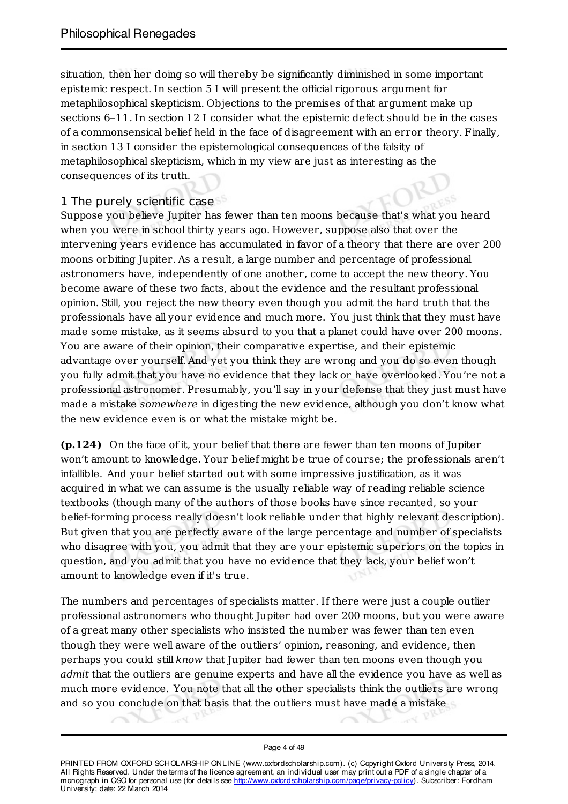situation, then her doing so will thereby be significantly diminished in some important epistemic respect. In section 5 I will present the official rigorous argument for metaphilosophical skepticism. Objections to the premises of that argument make up sections 6–11. In section 12 I consider what the epistemic defect should be in the cases of a commonsensical belief held in the face of disagreement with an error theory. Finally, in section 13 I consider the epistemological consequences of the falsity of metaphilosophical skepticism, which in my view are just as interesting as the consequences of its truth.

### 1 The purely scientific case

Suppose you believe Jupiter has fewer than ten moons because that's what you heard when you were in school thirty years ago. However, suppose also that over the intervening years evidence has accumulated in favor of a theory that there are over 200 moons orbiting Jupiter. As a result, a large number and percentage of professional astronomers have, independently of one another, come to accept the new theory. You become aware of these two facts, about the evidence and the resultant professional opinion. Still, you reject the new theory even though you admit the hard truth that the professionals have all your evidence and much more. You just think that they must have made some mistake, as it seems absurd to you that a planet could have over 200 moons. You are aware of their opinion, their comparative expertise, and their epistemic advantage over yourself. And yet you think they are wrong and you do so even though you fully admit that you have no evidence that they lack or have overlooked. You're not a professional astronomer. Presumably, you'll say in your defense that they just must have made a mistake somewhere in digesting the new evidence, although you don't know what the new evidence even is or what the mistake might be.

**(p.124)** On the face of it, your belief that there are fewer than ten moons of Jupiter won't amount to knowledge. Your belief might be true of course; the professionals aren't infallible. And your belief started out with some impressive justification, as it was acquired in what we can assume is the usually reliable way of reading reliable science textbooks (though many of the authors of those books have since recanted, so your belief-forming process really doesn't look reliable under that highly relevant description). But given that you are perfectly aware of the large percentage and number of specialists who disagree with you, you admit that they are your epistemic superiors on the topics in question, and you admit that you have no evidence that they lack, your belief won't amount to knowledge even if it's true.

The numbers and percentages of specialists matter. If there were just a couple outlier professional astronomers who thought Jupiter had over 200 moons, but you were aware of a great many other specialists who insisted the number was fewer than ten even though they were well aware of the outliers' opinion, reasoning, and evidence, then perhaps you could still know that Jupiter had fewer than ten moons even though you admit that the outliers are genuine experts and have all the evidence you have as well as much more evidence. You note that all the other specialists think the outliers are wrong and so you conclude on that basis that the outliers must have made a mistake

Page 4 of 49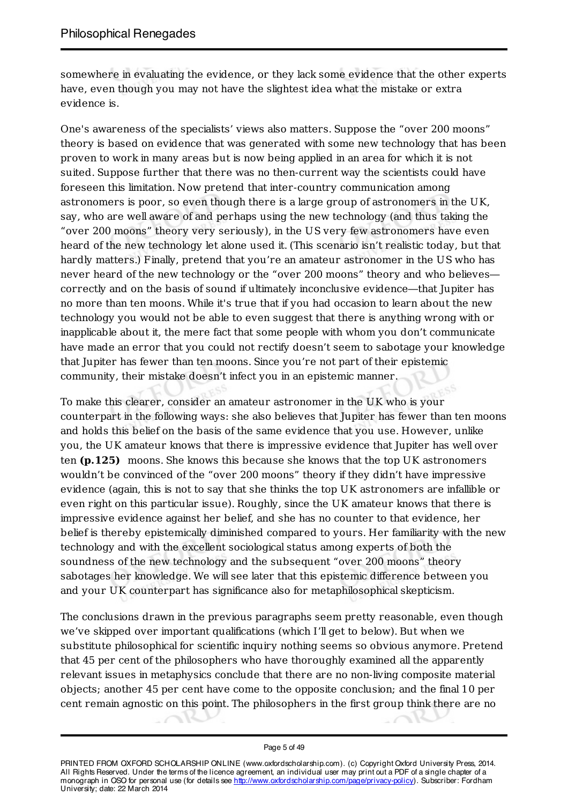somewhere in evaluating the evidence, or they lack some evidence that the other experts have, even though you may not have the slightest idea what the mistake or extra evidence is.

One's awareness of the specialists' views also matters. Suppose the "over 200 moons" theory is based on evidence that was generated with some new technology that has been proven to work in many areas but is now being applied in an area for which it is not suited. Suppose further that there was no then-current way the scientists could have foreseen this limitation. Now pretend that inter-country communication among astronomers is poor, so even though there is a large group of astronomers in the UK, say, who are well aware of and perhaps using the new technology (and thus taking the "over 200 moons" theory very seriously), in the US very few astronomers have even heard of the new technology let alone used it. (This scenario isn't realistic today, but that hardly matters.) Finally, pretend that you're an amateur astronomer in the US who has never heard of the new technology or the "over 200 moons" theory and who believes correctly and on the basis of sound if ultimately inconclusive evidence—that Jupiter has no more than ten moons. While it's true that if you had occasion to learn about the new technology you would not be able to even suggest that there is anything wrong with or inapplicable about it, the mere fact that some people with whom you don't communicate have made an error that you could not rectify doesn't seem to sabotage your knowledge that Jupiter has fewer than ten moons. Since you're not part of their epistemic community, their mistake doesn't infect you in an epistemic manner.

<sub>S</sub>S To make this clearer, consider an amateur astronomer in the UK who is your counterpart in the following ways: she also believes that Jupiter has fewer than ten moons and holds this belief on the basis of the same evidence that you use. However, unlike you, the UK amateur knows that there is impressive evidence that Jupiter has well over ten **(p.125)** moons. She knows this because she knows that the top UK astronomers wouldn't be convinced of the "over 200 moons" theory if they didn't have impressive evidence (again, this is not to say that she thinks the top UK astronomers are infallible or even right on this particular issue). Roughly, since the UK amateur knows that there is impressive evidence against her belief, and she has no counter to that evidence, her belief is thereby epistemically diminished compared to yours. Her familiarity with the new technology and with the excellent sociological status among experts of both the soundness of the new technology and the subsequent "over 200 moons" theory sabotages her knowledge. We will see later that this epistemic difference between you and your UK counterpart has significance also for metaphilosophical skepticism.

The conclusions drawn in the previous paragraphs seem pretty reasonable, even though we've skipped over important qualifications (which I'll get to below). But when we substitute philosophical for scientific inquiry nothing seems so obvious anymore. Pretend that 45 per cent of the philosophers who have thoroughly examined all the apparently relevant issues in metaphysics conclude that there are no non-living composite material objects; another 45 per cent have come to the opposite conclusion; and the final 10 per cent remain agnostic on this point. The philosophers in the first group think there are no

Page 5 of 49

PRINTED FROM OXFORD SCHOLARSHIP ONLINE (www.oxfordscholarship.com). (c) Copyright Oxford University Press, 2014. All Rights Reserved. Under the terms of the licence agreement, an individual user may print out a PDF of a single chapter of a monograph in OSO for personal use (for details see http://www.oxfordscholarship.com/page/privacy-policy). Subscriber: Fordham University; date: 22 March 2014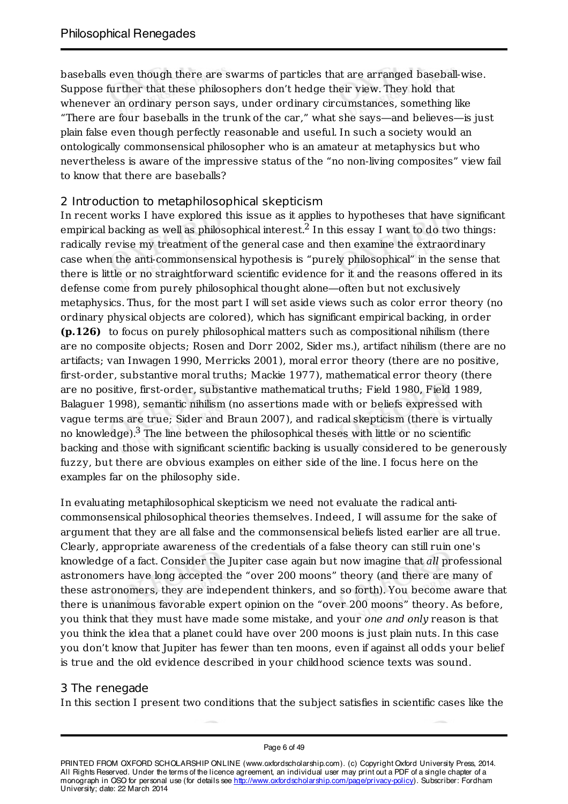baseballs even though there are swarms of particles that are arranged baseball-wise. Suppose further that these philosophers don't hedge their view. They hold that whenever an ordinary person says, under ordinary circumstances, something like "There are four baseballs in the trunk of the car," what she says—and believes—is just plain false even though perfectly reasonable and useful. In such a society would an ontologically commonsensical philosopher who is an amateur at metaphysics but who nevertheless is aware of the impressive status of the "no non-living composites" view fail to know that there are baseballs?

### 2 Introduction to metaphilosophical skepticism

In recent works I have explored this issue as it applies to hypotheses that have significant empirical backing as well as philosophical interest. $^2$  In this essay I want to do two things: radically revise my treatment of the general case and then examine the extraordinary case when the anti-commonsensical hypothesis is "purely philosophical" in the sense that there is little or no straightforward scientific evidence for it and the reasons offered in its defense come from purely philosophical thought alone—often but not exclusively metaphysics. Thus, for the most part I will set aside views such as color error theory (no ordinary physical objects are colored), which has significant empirical backing, in order **(p.126)** to focus on purely philosophical matters such as compositional nihilism (there are no composite objects; Rosen and Dorr 2002, Sider ms.), artifact nihilism (there are no artifacts; van Inwagen 1990, Merricks 2001), moral error theory (there are no positive, first-order, substantive moral truths; Mackie 1977), mathematical error theory (there are no positive, first-order, substantive mathematical truths; Field 1980, Field 1989, Balaguer 1998), semantic nihilism (no assertions made with or beliefs expressed with vague terms are true; Sider and Braun 2007), and radical skepticism (there is virtually no knowledge). $^3$  The line between the philosophical theses with little or no scientific backing and those with significant scientific backing is usually considered to be generously fuzzy, but there are obvious examples on either side of the line. I focus here on the examples far on the philosophy side.

In evaluating metaphilosophical skepticism we need not evaluate the radical anticommonsensical philosophical theories themselves. Indeed, I will assume for the sake of argument that they are all false and the commonsensical beliefs listed earlier are all true. Clearly, appropriate awareness of the credentials of a false theory can still ruin one's knowledge of a fact. Consider the Jupiter case again but now imagine that all professional astronomers have long accepted the "over 200 moons" theory (and there are many of these astronomers, they are independent thinkers, and so forth). You become aware that there is unanimous favorable expert opinion on the "over 200 moons" theory. As before, you think that they must have made some mistake, and your one and only reason is that you think the idea that a planet could have over 200 moons is just plain nuts. In this case you don't know that Jupiter has fewer than ten moons, even if against all odds your belief is true and the old evidence described in your childhood science texts was sound.

### 3 The renegade

In this section I present two conditions that the subject satisfies in scientific cases like the

#### Page 6 of 49

PRINTED FROM OXFORD SCHOLARSHIP ONLINE (www.oxfordscholarship.com). (c) Copyright Oxford University Press, 2014. All Rights Reserved. Under the terms of the licence agreement, an individual user may print out a PDF of a single chapter of a monograph in OSO for personal use (for details see http://www.oxfordscholarship.com/page/privacy-policy). Subscriber: Fordham University; date: 22 March 2014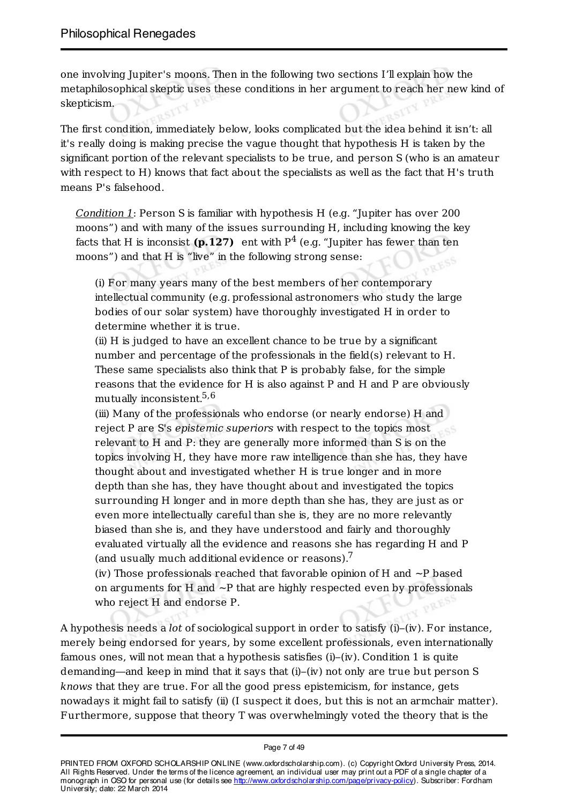one involving Jupiter's moons. Then in the following two sections I'll explain how the metaphilosophical skeptic uses these conditions in her argument to reach her new kind of skepticism.

The first condition, immediately below, looks complicated but the idea behind it isn't: all it's really doing is making precise the vague thought that hypothesis H is taken by the significant portion of the relevant specialists to be true, and person S (who is an amateur with respect to H) knows that fact about the specialists as well as the fact that H's truth means P's falsehood.

Condition 1: Person S is familiar with hypothesis H (e.g. "Jupiter has over 200 moons") and with many of the issues surrounding H, including knowing the key facts that H is inconsist  $(p.127)$  ent with  $P^4$  (e.g. "Jupiter has fewer than ten moons") and that H is "live" in the following strong sense:

(i) For many years many of the best members of her contemporary intellectual community (e.g. professional astronomers who study the large bodies of our solar system) have thoroughly investigated H in order to determine whether it is true.

(ii) H is judged to have an excellent chance to be true by a significant number and percentage of the professionals in the field(s) relevant to H. These same specialists also think that P is probably false, for the simple reasons that the evidence for H is also against P and H and P are obviously mutually inconsistent. 5,6

(iii) Many of the professionals who endorse (or nearly endorse) H and reject P are S's epistemic superiors with respect to the topics most relevant to H and P: they are generally more informed than S is on the topics involving H, they have more raw intelligence than she has, they have thought about and investigated whether H is true longer and in more depth than she has, they have thought about and investigated the topics surrounding H longer and in more depth than she has, they are just as or even more intellectually careful than she is, they are no more relevantly biased than she is, and they have understood and fairly and thoroughly evaluated virtually all the evidence and reasons she has regarding H and P (and usually much additional evidence or reasons). $^7$ 

(iv) Those professionals reached that favorable opinion of H and  $\sim$ P based on arguments for H and  $\sim$ P that are highly respected even by professionals who reject H and endorse P.

A hypothesis needs a lot of sociological support in order to satisfy (i)–(iv). For instance, merely being endorsed for years, by some excellent professionals, even internationally famous ones, will not mean that a hypothesis satisfies  $(i)$ – $(iv)$ . Condition 1 is quite demanding—and keep in mind that it says that (i)–(iv) not only are true but person S knows that they are true. For all the good press epistemicism, for instance, gets nowadays it might fail to satisfy (ii) (I suspect it does, but this is not an armchair matter). Furthermore, suppose that theory T was overwhelmingly voted the theory that is the

PRINTED FROM OXFORD SCHOLARSHIP ONLINE (www.oxfordscholarship.com). (c) Copyright Oxford University Press, 2014. All Rights Reserved. Under the terms of the licence agreement, an individual user may print out a PDF of a single chapter of a monograph in OSO for personal use (for details see http://www.oxfordscholarship.com/page/privacy-policy). Subscriber: Fordham University; date: 22 March 2014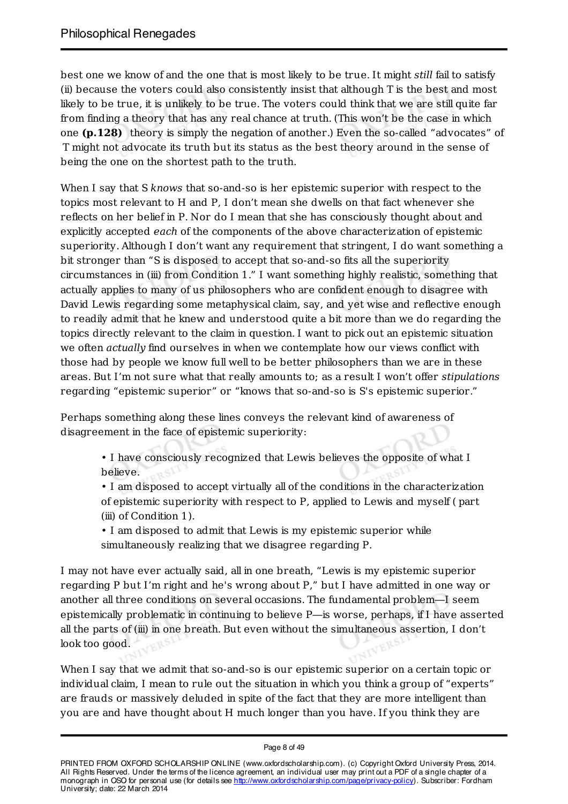best one we know of and the one that is most likely to be true. It might *still* fail to satisfy (ii) because the voters could also consistently insist that although T is the best and most likely to be true, it is unlikely to be true. The voters could think that we are still quite far from finding a theory that has any real chance at truth. (This won't be the case in which one **(p.128)** theory is simply the negation of another.) Even the so-called "advocates" of T might not advocate its truth but its status as the best theory around in the sense of being the one on the shortest path to the truth.

When I say that S knows that so-and-so is her epistemic superior with respect to the topics most relevant to H and P, I don't mean she dwells on that fact whenever she reflects on her belief in P. Nor do I mean that she has consciously thought about and explicitly accepted each of the components of the above characterization of epistemic superiority. Although I don't want any requirement that stringent, I do want something a bit stronger than "S is disposed to accept that so-and-so fits all the superiority circumstances in (iii) from Condition 1." I want something highly realistic, something that actually applies to many of us philosophers who are confident enough to disagree with David Lewis regarding some metaphysical claim, say, and yet wise and reflective enough to readily admit that he knew and understood quite a bit more than we do regarding the topics directly relevant to the claim in question. I want to pick out an epistemic situation we often *actually* find ourselves in when we contemplate how our views conflict with those had by people we know full well to be better philosophers than we are in these areas. But I'm not sure what that really amounts to; as a result I won't offer stipulations regarding "epistemic superior" or "knows that so-and-so is S's epistemic superior."

Perhaps something along these lines conveys the relevant kind of awareness of disagreement in the face of epistemic superiority:

• I have consciously recognized that Lewis believes the opposite of what I believe.

• I am disposed to accept virtually all of the conditions in the characterization of epistemic superiority with respect to P, applied to Lewis and myself ( part (iii) of Condition 1).

• I am disposed to admit that Lewis is my epistemic superior while simultaneously realizing that we disagree regarding P.

I may not have ever actually said, all in one breath, "Lewis is my epistemic superior regarding P but I'm right and he's wrong about P," but I have admitted in one way or another all three conditions on several occasions. The fundamental problem—I seem epistemically problematic in continuing to believe P—is worse, perhaps, if I have asserted all the parts of (iii) in one breath. But even without the simultaneous assertion, I don't<br>look too good. look too good.

When I say that we admit that so-and-so is our epistemic superior on a certain topic or individual claim, I mean to rule out the situation in which you think a group of "experts" are frauds or massively deluded in spite of the fact that they are more intelligent than you are and have thought about H much longer than you have. If you think they are

Page 8 of 49

PRINTED FROM OXFORD SCHOLARSHIP ONLINE (www.oxfordscholarship.com). (c) Copyright Oxford University Press, 2014. All Rights Reserved. Under the terms of the licence agreement, an individual user may print out a PDF of a single chapter of a monograph in OSO for personal use (for details see http://www.oxfordscholarship.com/page/privacy-policy). Subscriber: Fordham University; date: 22 March 2014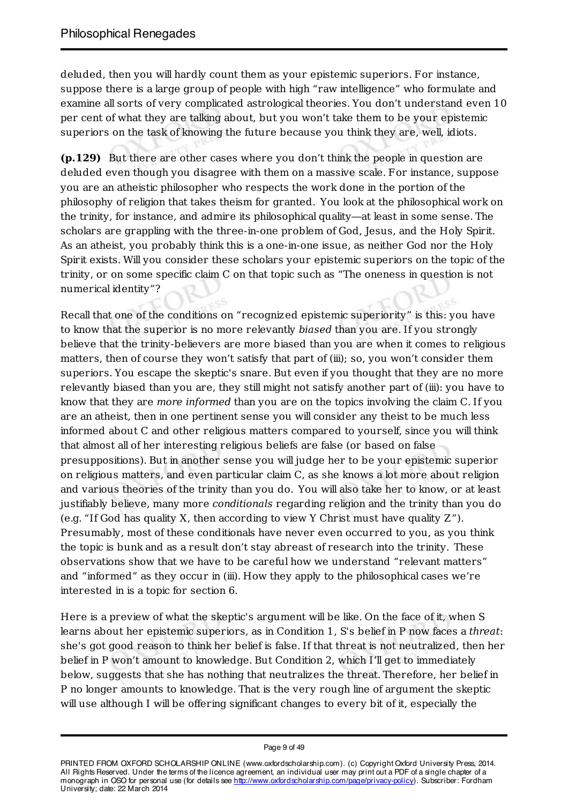deluded, then you will hardly count them as your epistemic superiors. For instance, suppose there is a large group of people with high "raw intelligence" who formulate and examine all sorts of very complicated astrological theories. You don't understand even 10 per cent of what they are talking about, but you won't take them to be your epistemic superiors on the task of knowing the future because you think they are, well, idiots.

**(p.129)** But there are other cases where you don't think the people in question are deluded even though you disagree with them on a massive scale. For instance, suppose you are an atheistic philosopher who respects the work done in the portion of the philosophy of religion that takes theism for granted. You look at the philosophical work on the trinity, for instance, and admire its philosophical quality—at least in some sense. The scholars are grappling with the three-in-one problem of God, Jesus, and the Holy Spirit. As an atheist, you probably think this is a one-in-one issue, as neither God nor the Holy Spirit exists. Will you consider these scholars your epistemic superiors on the topic of the trinity, or on some specific claim C on that topic such as "The oneness in question is not numerical identity"?

Recall that one of the conditions on "recognized epistemic superiority" is this: you have to know that the superior is no more relevantly biased than you are. If you strongly believe that the trinity-believers are more biased than you are when it comes to religious matters, then of course they won't satisfy that part of (iii); so, you won't consider them superiors. You escape the skeptic's snare. But even if you thought that they are no more relevantly biased than you are, they still might not satisfy another part of (iii): you have to know that they are *more informed* than you are on the topics involving the claim C. If you are an atheist, then in one pertinent sense you will consider any theist to be much less informed about C and other religious matters compared to yourself, since you will think that almost all of her interesting religious beliefs are false (or based on false presuppositions). But in another sense you will judge her to be your epistemic superior on religious matters, and even particular claim C, as she knows a lot more about religion and various theories of the trinity than you do. You will also take her to know, or at least justifiably believe, many more conditionals regarding religion and the trinity than you do (e.g. "If God has quality X, then according to view Y Christ must have quality Z"). Presumably, most of these conditionals have never even occurred to you, as you think the topic is bunk and as a result don't stay abreast of research into the trinity. These observations show that we have to be careful how we understand "relevant matters" and "informed" as they occur in (iii). How they apply to the philosophical cases we're interested in is a topic for section 6.

Here is a preview of what the skeptic's argument will be like. On the face of it, when S learns about her epistemic superiors, as in Condition 1, S's belief in P now faces a threat: she's got good reason to think her belief is false. If that threat is not neutralized, then her belief in P won't amount to knowledge. But Condition 2, which I'll get to immediately below, suggests that she has nothing that neutralizes the threat. Therefore, her belief in P no longer amounts to knowledge. That is the very rough line of argument the skeptic will use although I will be offering significant changes to every bit of it, especially the

PRINTED FROM OXFORD SCHOLARSHIP ONLINE (www.oxfordscholarship.com). (c) Copyright Oxford University Press, 2014. All Rights Reserved. Under the terms of the licence agreement, an individual user may print out a PDF of a single chapter of a monograph in OSO for personal use (for details see http://www.oxfordscholarship.com/page/privacy-policy). Subscriber: Fordham University; date: 22 March 2014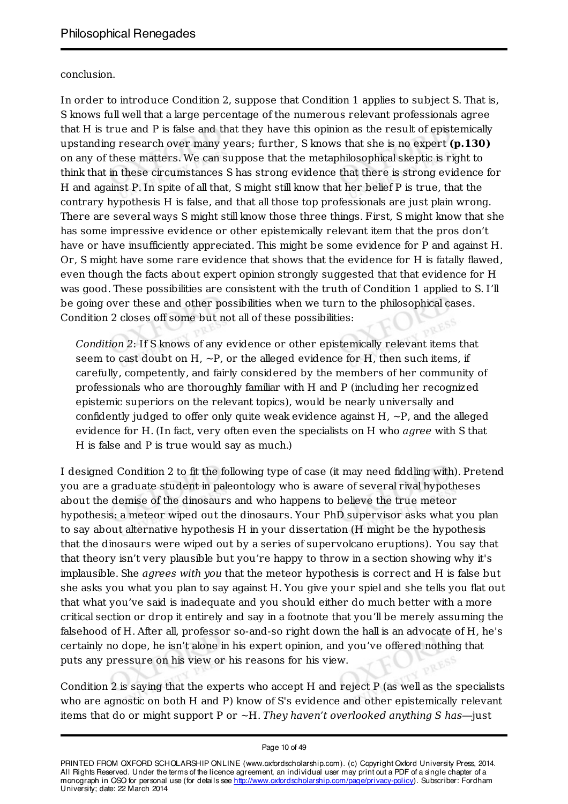### conclusion.

In order to introduce Condition 2, suppose that Condition 1 applies to subject S. That is, S knows full well that a large percentage of the numerous relevant professionals agree that H is true and P is false and that they have this opinion as the result of epistemically upstanding research over many years; further, S knows that she is no expert **(p.130)** on any of these matters. We can suppose that the metaphilosophical skeptic is right to think that in these circumstances S has strong evidence that there is strong evidence for H and against P. In spite of all that, S might still know that her belief P is true, that the contrary hypothesis H is false, and that all those top professionals are just plain wrong. There are several ways S might still know those three things. First, S might know that she has some impressive evidence or other epistemically relevant item that the pros don't have or have insufficiently appreciated. This might be some evidence for P and against H. Or, S might have some rare evidence that shows that the evidence for H is fatally flawed, even though the facts about expert opinion strongly suggested that that evidence for H was good. These possibilities are consistent with the truth of Condition 1 applied to S. I'll be going over these and other possibilities when we turn to the philosophical cases. Condition 2 closes off some but not all of these possibilities:

Condition 2: If S knows of any evidence or other epistemically relevant items that seem to cast doubt on H,  $\sim$ P, or the alleged evidence for H, then such items, if carefully, competently, and fairly considered by the members of her community of professionals who are thoroughly familiar with H and P (including her recognized epistemic superiors on the relevant topics), would be nearly universally and confidently judged to offer only quite weak evidence against  $H$ ,  $\sim$ P, and the alleged evidence for H. (In fact, very often even the specialists on H who agree with S that H is false and P is true would say as much.)

I designed Condition 2 to fit the following type of case (it may need fiddling with). Pretend you are a graduate student in paleontology who is aware of several rival hypotheses about the demise of the dinosaurs and who happens to believe the true meteor hypothesis: a meteor wiped out the dinosaurs. Your PhD supervisor asks what you plan to say about alternative hypothesis H in your dissertation (H might be the hypothesis that the dinosaurs were wiped out by a series of supervolcano eruptions). You say that that theory isn't very plausible but you're happy to throw in a section showing why it's implausible. She agrees with you that the meteor hypothesis is correct and H is false but she asks you what you plan to say against H. You give your spiel and she tells you flat out that what you've said is inadequate and you should either do much better with a more critical section or drop it entirely and say in a footnote that you'll be merely assuming the falsehood of H. After all, professor so-and-so right down the hall is an advocate of H, he's certainly no dope, he isn't alone in his expert opinion, and you've offered nothing that puts any pressure on his view or his reasons for his view.

Condition 2 is saying that the experts who accept H and reject P (as well as the specialists who are agnostic on both H and P) know of S's evidence and other epistemically relevant items that do or might support P or  $\sim$ H. They haven't overlooked anything S has—just

#### Page 10 of 49

PRINTED FROM OXFORD SCHOLARSHIP ONLINE (www.oxfordscholarship.com). (c) Copyright Oxford University Press, 2014. All Rights Reserved. Under the terms of the licence agreement, an individual user may print out a PDF of a single chapter of a monograph in OSO for personal use (for details see http://www.oxfordscholarship.com/page/privacy-policy). Subscriber: Fordham University; date: 22 March 2014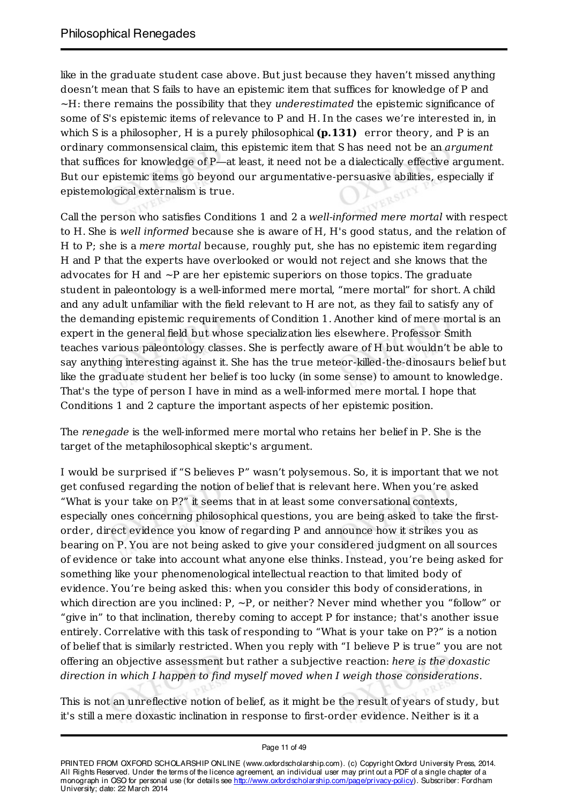like in the graduate student case above. But just because they haven't missed anything doesn't mean that S fails to have an epistemic item that suffices for knowledge of P and  $-H$ : there remains the possibility that they *underestimated* the epistemic significance of some of S's epistemic items of relevance to P and H. In the cases we're interested in, in which S is a philosopher, H is a purely philosophical **(p.131)** error theory, and P is an ordinary commonsensical claim, this epistemic item that S has need not be an *argument* that suffices for knowledge of P—at least, it need not be a dialectically effective argument. But our epistemic items go beyond our argumentative-persuasive abilities, especially if epistemological externalism is true.

Call the person who satisfies Conditions 1 and 2 a well-informed mere mortal with respect to H. She is well informed because she is aware of H, H's good status, and the relation of H to P; she is a mere mortal because, roughly put, she has no epistemic item regarding H and P that the experts have overlooked or would not reject and she knows that the advocates for H and  $\sim$ P are her epistemic superiors on those topics. The graduate student in paleontology is a well-informed mere mortal, "mere mortal" for short. A child and any adult unfamiliar with the field relevant to H are not, as they fail to satisfy any of the demanding epistemic requirements of Condition 1. Another kind of mere mortal is an expert in the general field but whose specialization lies elsewhere. Professor Smith teaches various paleontology classes. She is perfectly aware of H but wouldn't be able to say anything interesting against it. She has the true meteor-killed-the-dinosaurs belief but like the graduate student her belief is too lucky (in some sense) to amount to knowledge. That's the type of person I have in mind as a well-informed mere mortal. I hope that Conditions 1 and 2 capture the important aspects of her epistemic position.

The renegade is the well-informed mere mortal who retains her belief in P. She is the target of the metaphilosophical skeptic's argument.

I would be surprised if "S believes P" wasn't polysemous. So, it is important that we not get confused regarding the notion of belief that is relevant here. When you're asked "What is your take on P?" it seems that in at least some conversational contexts, especially ones concerning philosophical questions, you are being asked to take the firstorder, direct evidence you know of regarding P and announce how it strikes you as bearing on P. You are not being asked to give your considered judgment on all sources of evidence or take into account what anyone else thinks. Instead, you're being asked for something like your phenomenological intellectual reaction to that limited body of evidence. You're being asked this: when you consider this body of considerations, in which direction are you inclined:  $P_$ ,  $\sim$ P, or neither? Never mind whether you "follow" or "give in" to that inclination, thereby coming to accept P for instance; that's another issue entirely. Correlative with this task of responding to "What is your take on P?" is a notion of belief that is similarly restricted. When you reply with "I believe P is true" you are not offering an objective assessment but rather a subjective reaction: here is the doxastic direction in which I happen to find myself moved when I weigh those considerations.

This is not an unreflective notion of belief, as it might be the result of years of study, but it's still a mere doxastic inclination in response to first-order evidence. Neither is it a

Page 11 of 49

PRINTED FROM OXFORD SCHOLARSHIP ONLINE (www.oxfordscholarship.com). (c) Copyright Oxford University Press, 2014. All Rights Reserved. Under the terms of the licence agreement, an individual user may print out a PDF of a single chapter of a monograph in OSO for personal use (for details see http://www.oxfordscholarship.com/page/privacy-policy). Subscriber: Fordham University; date: 22 March 2014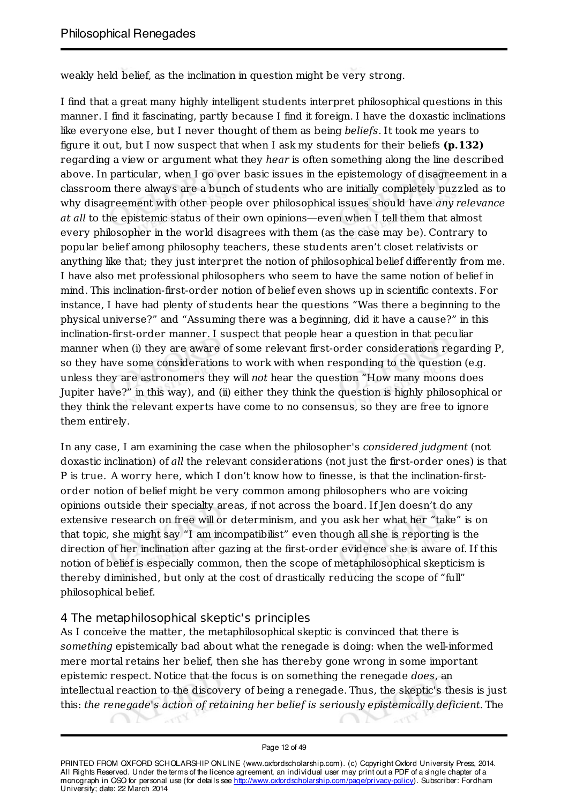weakly held belief, as the inclination in question might be very strong.

I find that a great many highly intelligent students interpret philosophical questions in this manner. I find it fascinating, partly because I find it foreign. I have the doxastic inclinations like everyone else, but I never thought of them as being beliefs. It took me years to figure it out, but I now suspect that when I ask my students for their beliefs **(p.132)** regarding a view or argument what they hear is often something along the line described above. In particular, when I go over basic issues in the epistemology of disagreement in a classroom there always are a bunch of students who are initially completely puzzled as to why disagreement with other people over philosophical issues should have any relevance at all to the epistemic status of their own opinions—even when I tell them that almost every philosopher in the world disagrees with them (as the case may be). Contrary to popular belief among philosophy teachers, these students aren't closet relativists or anything like that; they just interpret the notion of philosophical belief differently from me. I have also met professional philosophers who seem to have the same notion of belief in mind. This inclination-first-order notion of belief even shows up in scientific contexts. For instance, I have had plenty of students hear the questions "Was there a beginning to the physical universe?" and "Assuming there was a beginning, did it have a cause?" in this inclination-first-order manner. I suspect that people hear a question in that peculiar manner when (i) they are aware of some relevant first-order considerations regarding P, so they have some considerations to work with when responding to the question (e.g. unless they are astronomers they will not hear the question "How many moons does Jupiter have?" in this way), and (ii) either they think the question is highly philosophical or they think the relevant experts have come to no consensus, so they are free to ignore them entirely.

In any case, I am examining the case when the philosopher's considered judgment (not doxastic inclination) of all the relevant considerations (not just the first-order ones) is that P is true. A worry here, which I don't know how to finesse, is that the inclination-firstorder notion of belief might be very common among philosophers who are voicing opinions outside their specialty areas, if not across the board. If Jen doesn't do any extensive research on free will or determinism, and you ask her what her "take" is on that topic, she might say "I am incompatibilist" even though all she is reporting is the direction of her inclination after gazing at the first-order evidence she is aware of. If this notion of belief is especially common, then the scope of metaphilosophical skepticism is thereby diminished, but only at the cost of drastically reducing the scope of "full" philosophical belief.

### 4 The metaphilosophical skeptic's principles

As I conceive the matter, the metaphilosophical skeptic is convinced that there is something epistemically bad about what the renegade is doing: when the well-informed mere mortal retains her belief, then she has thereby gone wrong in some important epistemic respect. Notice that the focus is on something the renegade *does*, an intellectual reaction to the discovery of being a renegade. Thus, the skeptic's thesis is just this: the renegade's action of retaining her belief is seriously epistemically deficient. The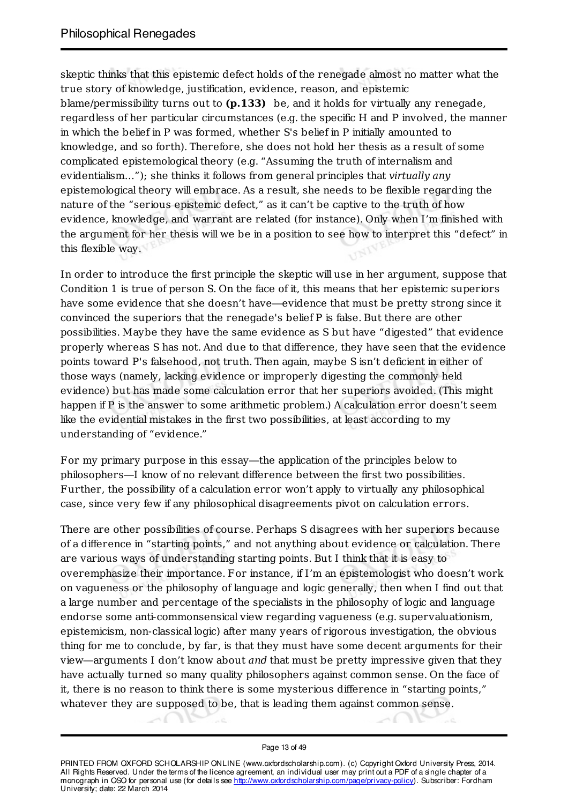skeptic thinks that this epistemic defect holds of the renegade almost no matter what the true story of knowledge, justification, evidence, reason, and epistemic blame/permissibility turns out to **(p.133)** be, and it holds for virtually any renegade, regardless of her particular circumstances (e.g. the specific H and P involved, the manner in which the belief in P was formed, whether S's belief in P initially amounted to knowledge, and so forth). Therefore, she does not hold her thesis as a result of some complicated epistemological theory (e.g. "Assuming the truth of internalism and evidentialism..."); she thinks it follows from general principles that *virtually any* epistemological theory will embrace. As a result, she needs to be flexible regarding the nature of the "serious epistemic defect," as it can't be captive to the truth of how evidence, knowledge, and warrant are related (for instance). Only when I'm finished with the argument for her thesis will we be in a position to see how to interpret this "defect" in this flexible way.

In order to introduce the first principle the skeptic will use in her argument, suppose that Condition 1 is true of person S. On the face of it, this means that her epistemic superiors have some evidence that she doesn't have—evidence that must be pretty strong since it convinced the superiors that the renegade's belief P is false. But there are other possibilities. Maybe they have the same evidence as S but have "digested" that evidence properly whereas S has not. And due to that difference, they have seen that the evidence points toward P's falsehood, not truth. Then again, maybe S isn't deficient in either of those ways (namely, lacking evidence or improperly digesting the commonly held evidence) but has made some calculation error that her superiors avoided. (This might happen if P is the answer to some arithmetic problem.) A calculation error doesn't seem like the evidential mistakes in the first two possibilities, at least according to my understanding of "evidence."

For my primary purpose in this essay—the application of the principles below to philosophers—I know of no relevant difference between the first two possibilities. Further, the possibility of a calculation error won't apply to virtually any philosophical case, since very few if any philosophical disagreements pivot on calculation errors.

There are other possibilities of course. Perhaps S disagrees with her superiors because of a difference in "starting points," and not anything about evidence or calculation. There are various ways of understanding starting points. But I think that it is easy to overemphasize their importance. For instance, if I'm an epistemologist who doesn't work on vagueness or the philosophy of language and logic generally, then when I find out that a large number and percentage of the specialists in the philosophy of logic and language endorse some anti-commonsensical view regarding vagueness (e.g. supervaluationism, epistemicism, non-classical logic) after many years of rigorous investigation, the obvious thing for me to conclude, by far, is that they must have some decent arguments for their view—arguments I don't know about and that must be pretty impressive given that they have actually turned so many quality philosophers against common sense. On the face of it, there is no reason to think there is some mysterious difference in "starting points," whatever they are supposed to be, that is leading them against common sense.

#### Page 13 of 49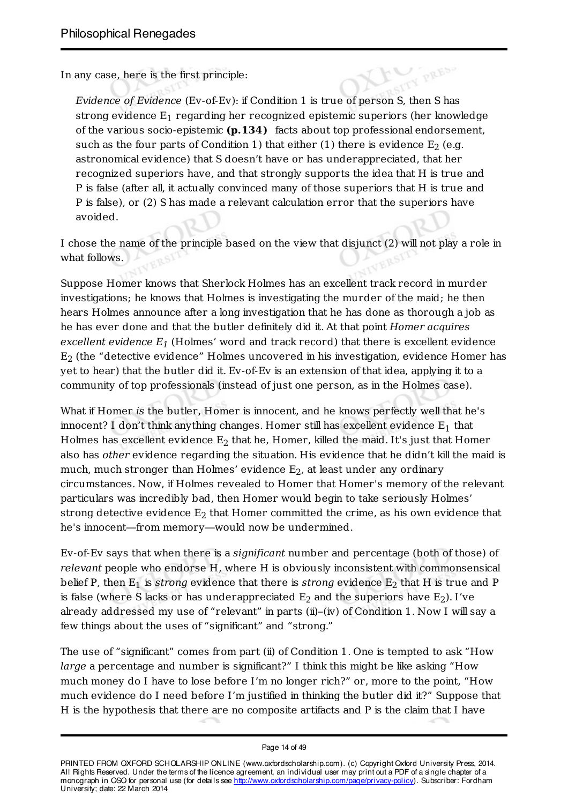In any case, here is the first principle:

Evidence of Evidence (Ev-of-Ev): if Condition 1 is true of person S, then S has strong evidence  $E_1$  regarding her recognized epistemic superiors (her knowledge of the various socio-epistemic **(p.134)** facts about top professional endorsement, such as the four parts of Condition 1) that either (1) there is evidence  $E_2$  (e.g. astronomical evidence) that S doesn't have or has underappreciated, that her recognized superiors have, and that strongly supports the idea that H is true and P is false (after all, it actually convinced many of those superiors that H is true and P is false), or (2) S has made a relevant calculation error that the superiors have avoided.

I chose the name of the principle based on the view that disjunct (2) will not play a role in what follows.

Suppose Homer knows that Sherlock Holmes has an excellent track record in murder investigations; he knows that Holmes is investigating the murder of the maid; he then hears Holmes announce after a long investigation that he has done as thorough a job as he has ever done and that the butler definitely did it. At that point *Homer acquires* excellent evidence  $E_1$  (Holmes' word and track record) that there is excellent evidence  $E_2$  (the "detective evidence" Holmes uncovered in his investigation, evidence Homer has yet to hear) that the butler did it. Ev-of-Ev is an extension of that idea, applying it to a community of top professionals (instead of just one person, as in the Holmes case).

What if Homer is the butler, Homer is innocent, and he knows perfectly well that he's innocent? I don't think anything changes. Homer still has excellent evidence  $E_1$  that Holmes has excellent evidence  $E_2$  that he, Homer, killed the maid. It's just that Homer also has other evidence regarding the situation. His evidence that he didn't kill the maid is much, much stronger than Holmes' evidence  $E_2$ , at least under any ordinary circumstances. Now, if Holmes revealed to Homer that Homer's memory of the relevant particulars was incredibly bad, then Homer would begin to take seriously Holmes' strong detective evidence  $E_2$  that Homer committed the crime, as his own evidence that he's innocent—from memory—would now be undermined.

Ev-of-Ev says that when there is a significant number and percentage (both of those) of relevant people who endorse H, where H is obviously inconsistent with commonsensical belief P, then  $E_1$  is strong evidence that there is strong evidence  $E_2$  that H is true and P is false (where S lacks or has underappreciated  $E_2$  and the superiors have  $E_2$ ). I've already addressed my use of "relevant" in parts (ii)–(iv) of Condition 1. Now I will say a few things about the uses of "significant" and "strong."

The use of "significant" comes from part (ii) of Condition 1. One is tempted to ask "How large a percentage and number is significant?" I think this might be like asking "How much money do I have to lose before I'm no longer rich?" or, more to the point, "How much evidence do I need before I'm justified in thinking the butler did it?" Suppose that H is the hypothesis that there are no composite artifacts and P is the claim that I have

Page 14 of 49

PRINTED FROM OXFORD SCHOLARSHIP ONLINE (www.oxfordscholarship.com). (c) Copyright Oxford University Press, 2014. All Rights Reserved. Under the terms of the licence agreement, an individual user may print out a PDF of a single chapter of a monograph in OSO for personal use (for details see http://www.oxfordscholarship.com/page/privacy-policy). Subscriber: Fordham University; date: 22 March 2014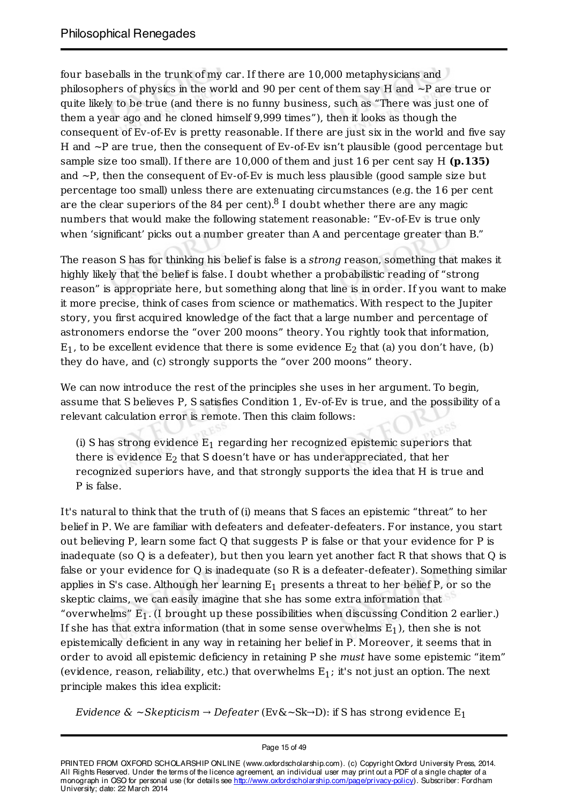four baseballs in the trunk of my car. If there are 10,000 metaphysicians and philosophers of physics in the world and 90 per cent of them say H and ~P are true or quite likely to be true (and there is no funny business, such as "There was just one of them a year ago and he cloned himself 9,999 times"), then it looks as though the consequent of Ev-of-Ev is pretty reasonable. If there are just six in the world and five say H and  $\sim$ P are true, then the consequent of Ev-of-Ev isn't plausible (good percentage but sample size too small). If there are 10,000 of them and just 16 per cent say H **(p.135)** and  $\sim$ P, then the consequent of Ev-of-Ev is much less plausible (good sample size but percentage too small) unless there are extenuating circumstances (e.g. the 16 per cent are the clear superiors of the 84 per cent). $^8$  I doubt whether there are any magic numbers that would make the following statement reasonable: "Ev-of-Ev is true only when 'significant' picks out a number greater than A and percentage greater than B."

The reason S has for thinking his belief is false is a *strong* reason, something that makes it highly likely that the belief is false. I doubt whether a probabilistic reading of "strong reason" is appropriate here, but something along that line is in order. If you want to make it more precise, think of cases from science or mathematics. With respect to the Jupiter story, you first acquired knowledge of the fact that a large number and percentage of astronomers endorse the "over 200 moons" theory. You rightly took that information,  $E_1$ , to be excellent evidence that there is some evidence  $E_2$  that (a) you don't have, (b) they do have, and (c) strongly supports the "over 200 moons" theory.

We can now introduce the rest of the principles she uses in her argument. To begin, assume that S believes P, S satisfies Condition 1, Ev-of-Ev is true, and the possibility of a relevant calculation error is remote. Then this claim follows:

(i) S has strong evidence  $E_1$  regarding her recognized epistemic superiors that there is evidence  $E_2$  that S doesn't have or has underappreciated, that her recognized superiors have, and that strongly supports the idea that H is true and P is false.

It's natural to think that the truth of (i) means that S faces an epistemic "threat" to her belief in P. We are familiar with defeaters and defeater-defeaters. For instance, you start out believing P, learn some fact Q that suggests P is false or that your evidence for P is inadequate (so Q is a defeater), but then you learn yet another fact R that shows that Q is false or your evidence for Q is inadequate (so R is a defeater-defeater). Something similar applies in S's case. Although her learning  $E_1$  presents a threat to her belief P, or so the skeptic claims, we can easily imagine that she has some extra information that "overwhelms"  $E_1$ . (I brought up these possibilities when discussing Condition 2 earlier.) If she has that extra information (that in some sense overwhelms  $E_1$ ), then she is not epistemically deficient in any way in retaining her belief in P. Moreover, it seems that in order to avoid all epistemic deficiency in retaining P she must have some epistemic "item" (evidence, reason, reliability, etc.) that overwhelms  $E_1$ ; it's not just an option. The next principle makes this idea explicit:

Evidence  $\& \sim$ Skepticism  $\rightarrow$  Defeater (Ev&~Sk $\rightarrow$ D): if S has strong evidence E<sub>1</sub>

Page 15 of 49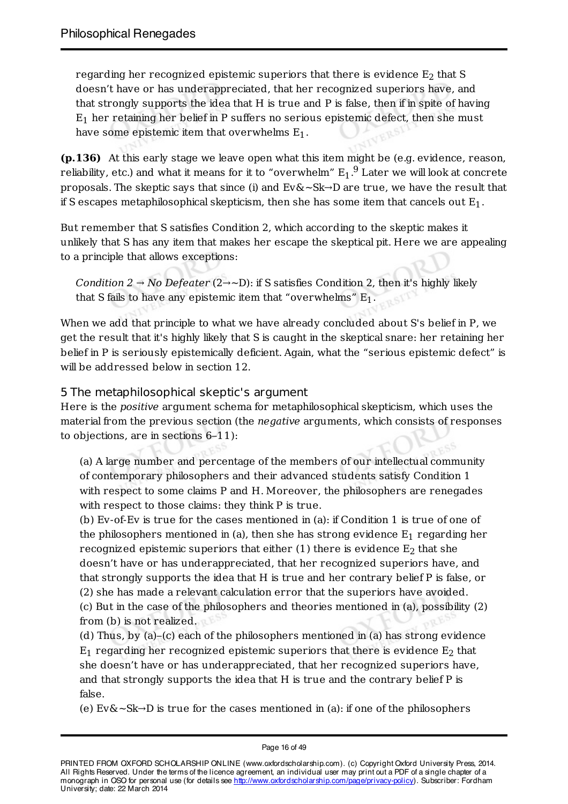regarding her recognized epistemic superiors that there is evidence  $E_2$  that S doesn't have or has underappreciated, that her recognized superiors have, and that strongly supports the idea that H is true and P is false, then if in spite of having  $E_1$  her retaining her belief in P suffers no serious epistemic defect, then she must have some epistemic item that overwhelms  $E_1$ .

**(p.136)** At this early stage we leave open what this item might be (e.g. evidence, reason, reliability, etc.) and what it means for it to "overwhelm"  $\text{E}_1.^9$  Later we will look at concrete proposals. The skeptic says that since (i) and Ev&~Sk→D are true, we have the result that if S escapes metaphilosophical skepticism, then she has some item that cancels out  $E_1$ .

But remember that S satisfies Condition 2, which according to the skeptic makes it unlikely that S has any item that makes her escape the skeptical pit. Here we are appealing to a principle that allows exceptions:

Condition  $2 \rightarrow No$  Defeater (2→~D): if S satisfies Condition 2, then it's highly likely that S fails to have any epistemic item that "overwhelms"  $E_1$ .

When we add that principle to what we have already concluded about S's belief in P, we get the result that it's highly likely that S is caught in the skeptical snare: her retaining her belief in P is seriously epistemically deficient. Again, what the "serious epistemic defect" is will be addressed below in section 12.

### 5 The metaphilosophical skeptic's argument

Here is the positive argument schema for metaphilosophical skepticism, which uses the material from the previous section (the negative arguments, which consists of responses to objections, are in sections 6–11):

(a) A large number and percentage of the members of our intellectual community of contemporary philosophers and their advanced students satisfy Condition 1 with respect to some claims P and H. Moreover, the philosophers are renegades with respect to those claims: they think P is true.

(b) Ev-of-Ev is true for the cases mentioned in (a): if Condition 1 is true of one of the philosophers mentioned in (a), then she has strong evidence  $E_1$  regarding her recognized epistemic superiors that either  $(1)$  there is evidence  $E_2$  that she doesn't have or has underappreciated, that her recognized superiors have, and that strongly supports the idea that H is true and her contrary belief P is false, or (2) she has made a relevant calculation error that the superiors have avoided. (c) But in the case of the philosophers and theories mentioned in (a), possibility (2) from (b) is not realized.

(d) Thus, by (a)–(c) each of the philosophers mentioned in (a) has strong evidence  $E_1$  regarding her recognized epistemic superiors that there is evidence  $E_2$  that she doesn't have or has underappreciated, that her recognized superiors have, and that strongly supports the idea that H is true and the contrary belief P is false.

(e)  $Ev\&\sim Sk\rightarrow D$  is true for the cases mentioned in (a): if one of the philosophers

PRINTED FROM OXFORD SCHOLARSHIP ONLINE (www.oxfordscholarship.com). (c) Copyright Oxford University Press, 2014. All Rights Reserved. Under the terms of the licence agreement, an individual user may print out a PDF of a single chapter of a monograph in OSO for personal use (for details see http://www.oxfordscholarship.com/page/privacy-policy). Subscriber: Fordham University; date: 22 March 2014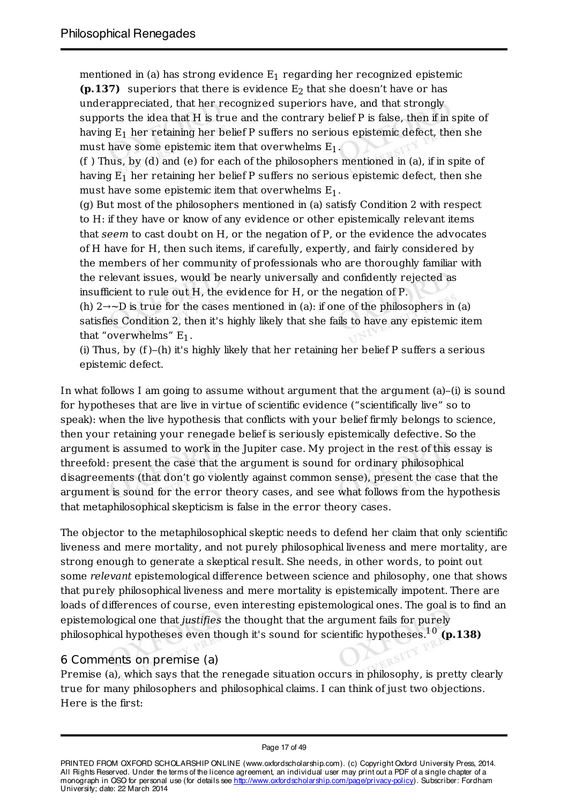mentioned in (a) has strong evidence  $E_1$  regarding her recognized epistemic **(p.137)** superiors that there is evidence  $E_2$  that she doesn't have or has underappreciated, that her recognized superiors have, and that strongly supports the idea that H is true and the contrary belief P is false, then if in spite of having  $E_1$  her retaining her belief P suffers no serious epistemic defect, then she must have some epistemic item that overwhelms  $E_1$ .

(f ) Thus, by (d) and (e) for each of the philosophers mentioned in (a), if in spite of having E1 her retaining her belief P suffers no serious epistemic defect, then she must have some epistemic item that overwhelms  $E_1$ .

(g) But most of the philosophers mentioned in (a) satisfy Condition 2 with respect to H: if they have or know of any evidence or other epistemically relevant items that seem to cast doubt on H, or the negation of P, or the evidence the advocates of H have for H, then such items, if carefully, expertly, and fairly considered by the members of her community of professionals who are thoroughly familiar with the relevant issues, would be nearly universally and confidently rejected as insufficient to rule out H, the evidence for H, or the negation of P.

(h)  $2 \rightarrow \sim D$  is true for the cases mentioned in (a): if one of the philosophers in (a) satisfies Condition 2, then it's highly likely that she fails to have any epistemic item that "overwhelms"  $E_1$ .

(i) Thus, by (f)–(h) it's highly likely that her retaining her belief P suffers a serious epistemic defect.

In what follows I am going to assume without argument that the argument (a)–(i) is sound for hypotheses that are live in virtue of scientific evidence ("scientifically live" so to speak): when the live hypothesis that conflicts with your belief firmly belongs to science, then your retaining your renegade belief is seriously epistemically defective. So the argument is assumed to work in the Jupiter case. My project in the rest of this essay is threefold: present the case that the argument is sound for ordinary philosophical disagreements (that don't go violently against common sense), present the case that the argument is sound for the error theory cases, and see what follows from the hypothesis that metaphilosophical skepticism is false in the error theory cases.

The objector to the metaphilosophical skeptic needs to defend her claim that only scientific liveness and mere mortality, and not purely philosophical liveness and mere mortality, are strong enough to generate a skeptical result. She needs, in other words, to point out some *relevant* epistemological difference between science and philosophy, one that shows that purely philosophical liveness and mere mortality is epistemically impotent. There are loads of differences of course, even interesting epistemological ones. The goal is to find an epistemological one that justifies the thought that the argument fails for purely philosophical hypotheses even though it's sound for scientific hypotheses. <sup>10</sup> **(p.138)**

# 6 Comments on premise (a)

Premise (a), which says that the renegade situation occurs in philosophy, is pretty clearly true for many philosophers and philosophical claims. I can think of just two objections. Here is the first:

PRINTED FROM OXFORD SCHOLARSHIP ONLINE (www.oxfordscholarship.com). (c) Copyright Oxford University Press, 2014. All Rights Reserved. Under the terms of the licence agreement, an individual user may print out a PDF of a single chapter of a monograph in OSO for personal use (for details see http://www.oxfordscholarship.com/page/privacy-policy). Subscriber: Fordham University; date: 22 March 2014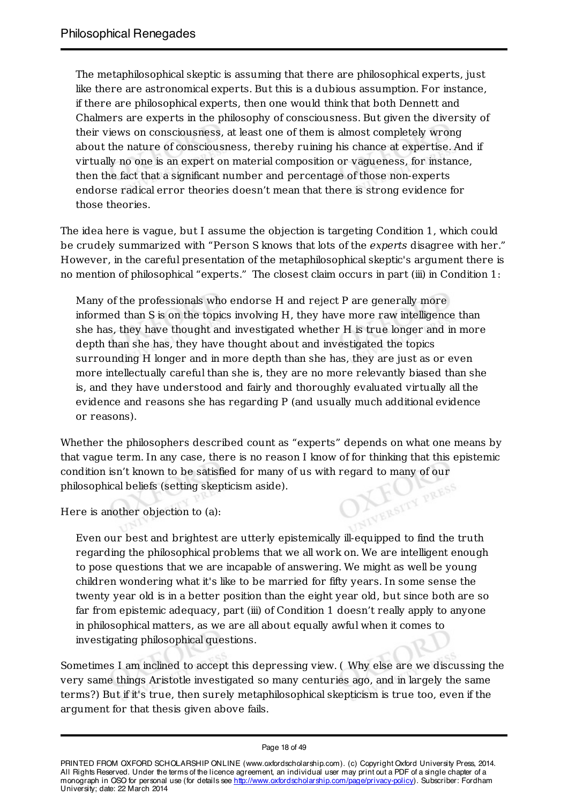The metaphilosophical skeptic is assuming that there are philosophical experts, just like there are astronomical experts. But this is a dubious assumption. For instance, if there are philosophical experts, then one would think that both Dennett and Chalmers are experts in the philosophy of consciousness. But given the diversity of their views on consciousness, at least one of them is almost completely wrong about the nature of consciousness, thereby ruining his chance at expertise. And if virtually no one is an expert on material composition or vagueness, for instance, then the fact that a significant number and percentage of those non-experts endorse radical error theories doesn't mean that there is strong evidence for those theories.

The idea here is vague, but I assume the objection is targeting Condition 1, which could be crudely summarized with "Person S knows that lots of the experts disagree with her." However, in the careful presentation of the metaphilosophical skeptic's argument there is no mention of philosophical "experts." The closest claim occurs in part (iii) in Condition 1:

Many of the professionals who endorse H and reject P are generally more informed than S is on the topics involving H, they have more raw intelligence than she has, they have thought and investigated whether H is true longer and in more depth than she has, they have thought about and investigated the topics surrounding H longer and in more depth than she has, they are just as or even more intellectually careful than she is, they are no more relevantly biased than she is, and they have understood and fairly and thoroughly evaluated virtually all the evidence and reasons she has regarding P (and usually much additional evidence or reasons).

Whether the philosophers described count as "experts" depends on what one means by that vague term. In any case, there is no reason I know of for thinking that this epistemic condition isn't known to be satisfied for many of us with regard to many of our philosophical beliefs (setting skepticism aside).<br>Here is another objection to (a): philosophical beliefs (setting skepticism aside).

Here is another objection to (a):

Even our best and brightest are utterly epistemically ill-equipped to find the truth regarding the philosophical problems that we all work on. We are intelligent enough to pose questions that we are incapable of answering. We might as well be young children wondering what it's like to be married for fifty years. In some sense the twenty year old is in a better position than the eight year old, but since both are so far from epistemic adequacy, part (iii) of Condition 1 doesn't really apply to anyone in philosophical matters, as we are all about equally awful when it comes to investigating philosophical questions.

Sometimes I am inclined to accept this depressing view. ( Why else are we discussing the very same things Aristotle investigated so many centuries ago, and in largely the same terms?) But if it's true, then surely metaphilosophical skepticism is true too, even if the argument for that thesis given above fails.

#### Page 18 of 49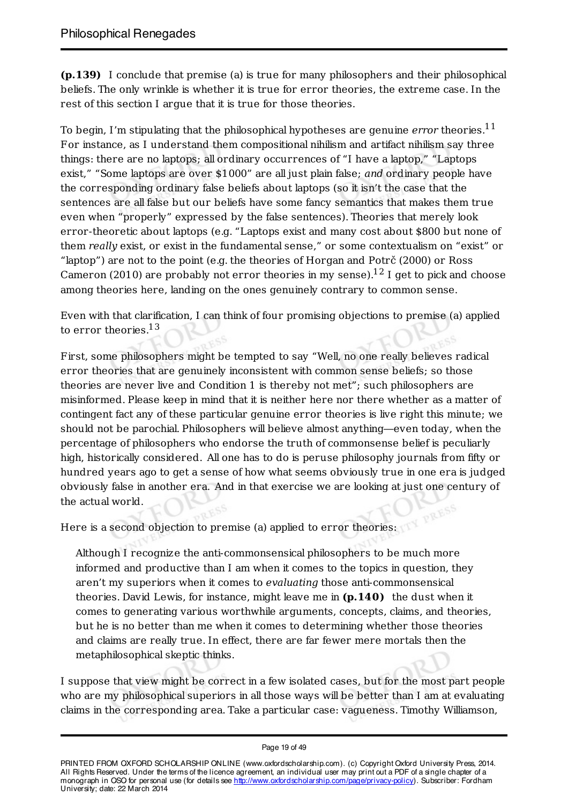**(p.139)** I conclude that premise (a) is true for many philosophers and their philosophical beliefs. The only wrinkle is whether it is true for error theories, the extreme case. In the rest of this section I argue that it is true for those theories.

To begin, I'm stipulating that the philosophical hypotheses are genuine  $\emph{error}$  theories. $^{11}$ For instance, as I understand them compositional nihilism and artifact nihilism say three things: there are no laptops; all ordinary occurrences of "I have a laptop," "Laptops exist." "Some laptops are over \$1000" are all just plain false: and ordinary people have the corresponding ordinary false beliefs about laptops (so it isn't the case that the sentences are all false but our beliefs have some fancy semantics that makes them true even when "properly" expressed by the false sentences). Theories that merely look error-theoretic about laptops (e.g. "Laptops exist and many cost about \$800 but none of them really exist, or exist in the fundamental sense," or some contextualism on "exist" or "laptop") are not to the point (e.g. the theories of Horgan and Potrč (2000) or Ross Cameron (2010) are probably not error theories in my sense). $^{12}$  I get to pick and choose among theories here, landing on the ones genuinely contrary to common sense.

Even with that clarification, I can think of four promising objections to premise (a) applied to error theories. 13

First, some philosophers might be tempted to say "Well, no one really believes radical error theories that are genuinely inconsistent with common sense beliefs; so those theories are never live and Condition 1 is thereby not met"; such philosophers are misinformed. Please keep in mind that it is neither here nor there whether as a matter of contingent fact any of these particular genuine error theories is live right this minute; we should not be parochial. Philosophers will believe almost anything—even today, when the percentage of philosophers who endorse the truth of commonsense belief is peculiarly high, historically considered. All one has to do is peruse philosophy journals from fifty or hundred years ago to get a sense of how what seems obviously true in one era is judged obviously false in another era. And in that exercise we are looking at just one century of the actual world. PRESS

Here is a second objection to premise (a) applied to error theories:

Although I recognize the anti-commonsensical philosophers to be much more informed and productive than I am when it comes to the topics in question, they aren't my superiors when it comes to evaluating those anti-commonsensical theories. David Lewis, for instance, might leave me in **(p.140)** the dust when it comes to generating various worthwhile arguments, concepts, claims, and theories, but he is no better than me when it comes to determining whether those theories and claims are really true. In effect, there are far fewer mere mortals then the metaphilosophical skeptic thinks.

I suppose that view might be correct in a few isolated cases, but for the most part people who are my philosophical superiors in all those ways will be better than I am at evaluating claims in the corresponding area. Take a particular case: vagueness. Timothy Williamson,

Page 19 of 49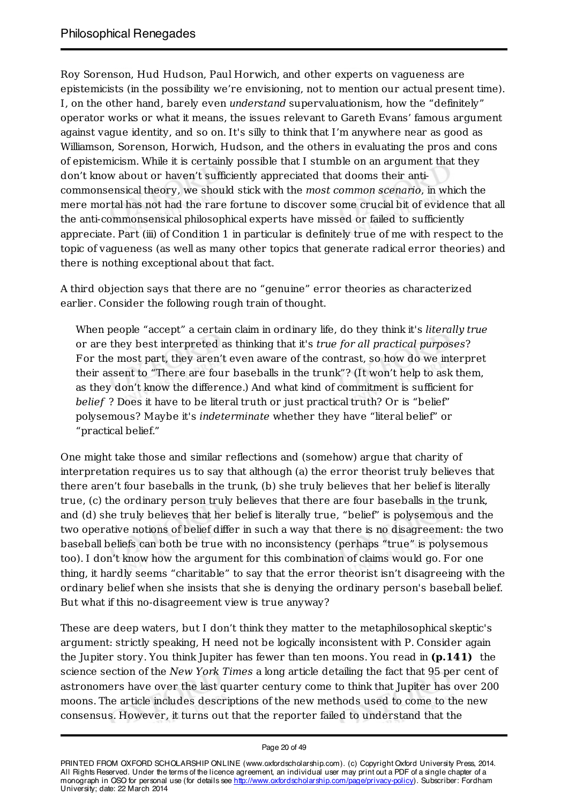Roy Sorenson, Hud Hudson, Paul Horwich, and other experts on vagueness are epistemicists (in the possibility we're envisioning, not to mention our actual present time). I, on the other hand, barely even understand supervaluationism, how the "definitely" operator works or what it means, the issues relevant to Gareth Evans' famous argument against vague identity, and so on. It's silly to think that I'm anywhere near as good as Williamson, Sorenson, Horwich, Hudson, and the others in evaluating the pros and cons of epistemicism. While it is certainly possible that I stumble on an argument that they don't know about or haven't sufficiently appreciated that dooms their anticommonsensical theory, we should stick with the most common scenario, in which the mere mortal has not had the rare fortune to discover some crucial bit of evidence that all the anti-commonsensical philosophical experts have missed or failed to sufficiently appreciate. Part (iii) of Condition 1 in particular is definitely true of me with respect to the topic of vagueness (as well as many other topics that generate radical error theories) and there is nothing exceptional about that fact.

A third objection says that there are no "genuine" error theories as characterized earlier. Consider the following rough train of thought.

When people "accept" a certain claim in ordinary life, do they think it's *literally true* or are they best interpreted as thinking that it's true for all practical purposes? For the most part, they aren't even aware of the contrast, so how do we interpret their assent to "There are four baseballs in the trunk"? (It won't help to ask them, as they don't know the difference.) And what kind of commitment is sufficient for belief ? Does it have to be literal truth or just practical truth? Or is "belief" polysemous? Maybe it's indeterminate whether they have "literal belief" or "practical belief."

One might take those and similar reflections and (somehow) argue that charity of interpretation requires us to say that although (a) the error theorist truly believes that there aren't four baseballs in the trunk, (b) she truly believes that her belief is literally true, (c) the ordinary person truly believes that there are four baseballs in the trunk, and (d) she truly believes that her belief is literally true, "belief" is polysemous and the two operative notions of belief differ in such a way that there is no disagreement: the two baseball beliefs can both be true with no inconsistency (perhaps "true" is polysemous too). I don't know how the argument for this combination of claims would go. For one thing, it hardly seems "charitable" to say that the error theorist isn't disagreeing with the ordinary belief when she insists that she is denying the ordinary person's baseball belief. But what if this no-disagreement view is true anyway?

These are deep waters, but I don't think they matter to the metaphilosophical skeptic's argument: strictly speaking, H need not be logically inconsistent with P. Consider again the Jupiter story. You think Jupiter has fewer than ten moons. You read in **(p.141)** the science section of the New York Times a long article detailing the fact that 95 per cent of astronomers have over the last quarter century come to think that Jupiter has over 200 moons. The article includes descriptions of the new methods used to come to the new consensus. However, it turns out that the reporter failed to understand that the

Page 20 of 49

PRINTED FROM OXFORD SCHOLARSHIP ONLINE (www.oxfordscholarship.com). (c) Copyright Oxford University Press, 2014. All Rights Reserved. Under the terms of the licence agreement, an individual user may print out a PDF of a single chapter of a monograph in OSO for personal use (for details see http://www.oxfordscholarship.com/page/privacy-policy). Subscriber: Fordham University; date: 22 March 2014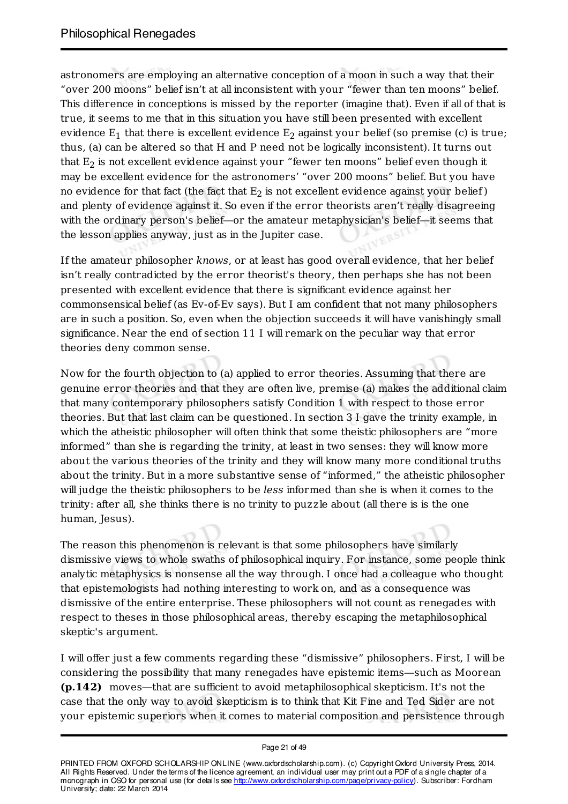astronomers are employing an alternative conception of a moon in such a way that their "over 200 moons" belief isn't at all inconsistent with your "fewer than ten moons" belief. This difference in conceptions is missed by the reporter (imagine that). Even if all of that is true, it seems to me that in this situation you have still been presented with excellent evidence  $E_1$  that there is excellent evidence  $E_2$  against your belief (so premise (c) is true; thus, (a) can be altered so that H and P need not be logically inconsistent). It turns out that  $E_2$  is not excellent evidence against your "fewer ten moons" belief even though it may be excellent evidence for the astronomers' "over 200 moons" belief. But you have no evidence for that fact (the fact that  $E_2$  is not excellent evidence against your belief) and plenty of evidence against it. So even if the error theorists aren't really disagreeing with the ordinary person's belief—or the amateur metaphysician's belief—it seems that the lesson applies anyway, just as in the Jupiter case.

If the amateur philosopher knows, or at least has good overall evidence, that her belief isn't really contradicted by the error theorist's theory, then perhaps she has not been presented with excellent evidence that there is significant evidence against her commonsensical belief (as Ev-of-Ev says). But I am confident that not many philosophers are in such a position. So, even when the objection succeeds it will have vanishingly small significance. Near the end of section 11 I will remark on the peculiar way that error theories deny common sense.

Now for the fourth objection to (a) applied to error theories. Assuming that there are genuine error theories and that they are often live, premise (a) makes the additional claim that many contemporary philosophers satisfy Condition 1 with respect to those error theories. But that last claim can be questioned. In section 3 I gave the trinity example, in which the atheistic philosopher will often think that some theistic philosophers are "more informed" than she is regarding the trinity, at least in two senses: they will know more about the various theories of the trinity and they will know many more conditional truths about the trinity. But in a more substantive sense of "informed," the atheistic philosopher will judge the theistic philosophers to be *less* informed than she is when it comes to the trinity: after all, she thinks there is no trinity to puzzle about (all there is is the one human, Jesus).

The reason this phenomenon is relevant is that some philosophers have similarly dismissive views to whole swaths of philosophical inquiry. For instance, some people think analytic metaphysics is nonsense all the way through. I once had a colleague who thought that epistemologists had nothing interesting to work on, and as a consequence was dismissive of the entire enterprise. These philosophers will not count as renegades with respect to theses in those philosophical areas, thereby escaping the metaphilosophical skeptic's argument.

I will offer just a few comments regarding these "dismissive" philosophers. First, I will be considering the possibility that many renegades have epistemic items—such as Moorean **(p.142)** moves—that are sufficient to avoid metaphilosophical skepticism. It's not the case that the only way to avoid skepticism is to think that Kit Fine and Ted Sider are not your epistemic superiors when it comes to material composition and persistence through

Page 21 of 49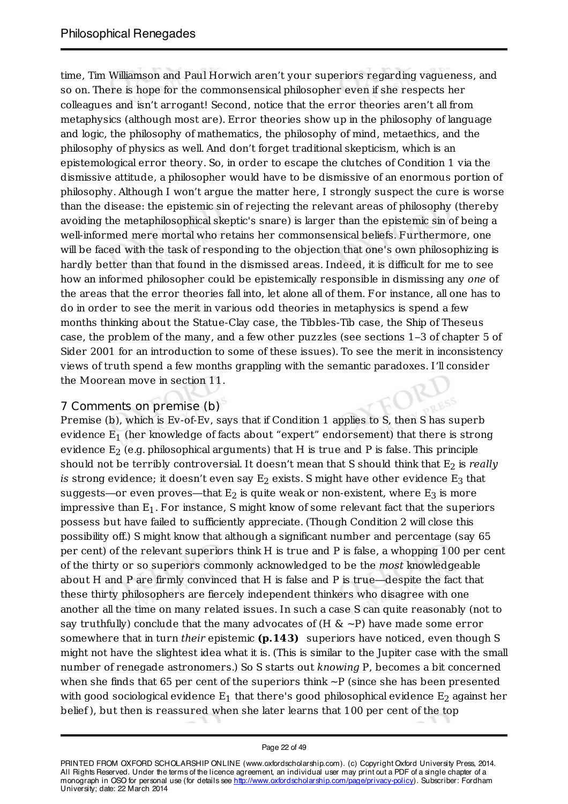time, Tim Williamson and Paul Horwich aren't your superiors regarding vagueness, and so on. There is hope for the commonsensical philosopher even if she respects her colleagues and isn't arrogant! Second, notice that the error theories aren't all from metaphysics (although most are). Error theories show up in the philosophy of language and logic, the philosophy of mathematics, the philosophy of mind, metaethics, and the philosophy of physics as well. And don't forget traditional skepticism, which is an epistemological error theory. So, in order to escape the clutches of Condition 1 via the dismissive attitude, a philosopher would have to be dismissive of an enormous portion of philosophy. Although I won't argue the matter here, I strongly suspect the cure is worse than the disease: the epistemic sin of rejecting the relevant areas of philosophy (thereby avoiding the metaphilosophical skeptic's snare) is larger than the epistemic sin of being a well-informed mere mortal who retains her commonsensical beliefs. Furthermore, one will be faced with the task of responding to the objection that one's own philosophizing is hardly better than that found in the dismissed areas. Indeed, it is difficult for me to see how an informed philosopher could be epistemically responsible in dismissing any one of the areas that the error theories fall into, let alone all of them. For instance, all one has to do in order to see the merit in various odd theories in metaphysics is spend a few months thinking about the Statue-Clay case, the Tibbles-Tib case, the Ship of Theseus case, the problem of the many, and a few other puzzles (see sections 1–3 of chapter 5 of Sider 2001 for an introduction to some of these issues). To see the merit in inconsistency views of truth spend a few months grappling with the semantic paradoxes. I'll consider the Moorean move in section 11.

### 7 Comments on premise (b)

Premise (b), which is Ev-of-Ev, says that if Condition 1 applies to S, then S has superb evidence  $E_1$  (her knowledge of facts about "expert" endorsement) that there is strong evidence  $E_2$  (e.g. philosophical arguments) that H is true and P is false. This principle should not be terribly controversial. It doesn't mean that S should think that  $E_2$  is really is strong evidence; it doesn't even say  $E_2$  exists. S might have other evidence  $E_3$  that suggests—or even proves—that  $E_2$  is quite weak or non-existent, where  $E_3$  is more impressive than  $E_1$ . For instance, S might know of some relevant fact that the superiors possess but have failed to sufficiently appreciate. (Though Condition 2 will close this possibility off.) S might know that although a significant number and percentage (say 65 per cent) of the relevant superiors think H is true and P is false, a whopping 100 per cent of the thirty or so superiors commonly acknowledged to be the most knowledgeable about H and P are firmly convinced that H is false and P is true—despite the fact that these thirty philosophers are fiercely independent thinkers who disagree with one another all the time on many related issues. In such a case S can quite reasonably (not to say truthfully) conclude that the many advocates of  $(H \& \sim P)$  have made some error somewhere that in turn their epistemic **(p.143)** superiors have noticed, even though S might not have the slightest idea what it is. (This is similar to the Jupiter case with the small number of renegade astronomers.) So S starts out knowing P, becomes a bit concerned when she finds that  $65$  per cent of the superiors think  $\sim$ P (since she has been presented with good sociological evidence  $E_1$  that there's good philosophical evidence  $E_2$  against her belief), but then is reassured when she later learns that 100 per cent of the top

PRINTED FROM OXFORD SCHOLARSHIP ONLINE (www.oxfordscholarship.com). (c) Copyright Oxford University Press, 2014. All Rights Reserved. Under the terms of the licence agreement, an individual user may print out a PDF of a single chapter of a monograph in OSO for personal use (for details see http://www.oxfordscholarship.com/page/privacy-policy). Subscriber: Fordham University; date: 22 March 2014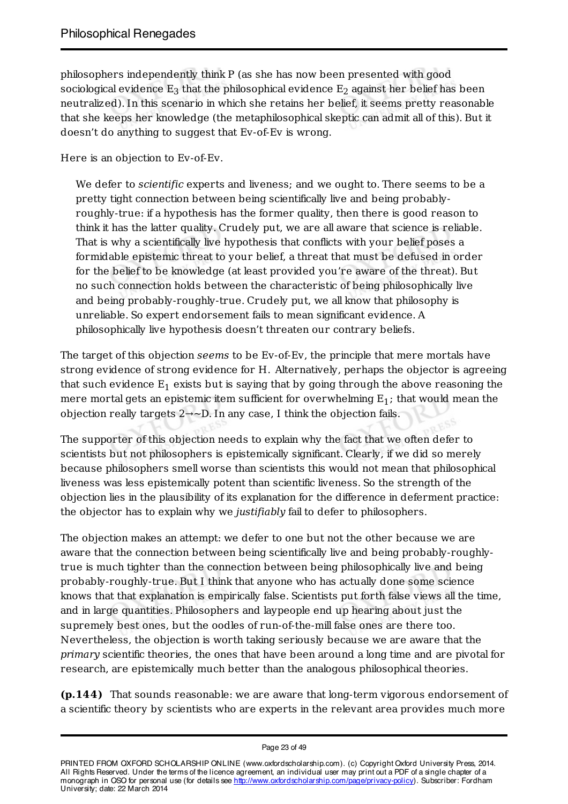philosophers independently think P (as she has now been presented with good sociological evidence  $E_3$  that the philosophical evidence  $E_2$  against her belief has been neutralized). In this scenario in which she retains her belief, it seems pretty reasonable that she keeps her knowledge (the metaphilosophical skeptic can admit all of this). But it doesn't do anything to suggest that Ev-of-Ev is wrong.

Here is an objection to Ev-of-Ev.

We defer to *scientific* experts and liveness; and we ought to. There seems to be a pretty tight connection between being scientifically live and being probablyroughly-true: if a hypothesis has the former quality, then there is good reason to think it has the latter quality. Crudely put, we are all aware that science is reliable. That is why a scientifically live hypothesis that conflicts with your belief poses a formidable epistemic threat to your belief, a threat that must be defused in order for the belief to be knowledge (at least provided you're aware of the threat). But no such connection holds between the characteristic of being philosophically live and being probably-roughly-true. Crudely put, we all know that philosophy is unreliable. So expert endorsement fails to mean significant evidence. A philosophically live hypothesis doesn't threaten our contrary beliefs.

The target of this objection seems to be Ev-of-Ev, the principle that mere mortals have strong evidence of strong evidence for H. Alternatively, perhaps the objector is agreeing that such evidence  $E_1$  exists but is saying that by going through the above reasoning the mere mortal gets an epistemic item sufficient for overwhelming  $E_1$ ; that would mean the objection really targets 2→~D. In any case, I think the objection fails.

The supporter of this objection needs to explain why the fact that we often defer to scientists but not philosophers is epistemically significant. Clearly, if we did so merely because philosophers smell worse than scientists this would not mean that philosophical liveness was less epistemically potent than scientific liveness. So the strength of the objection lies in the plausibility of its explanation for the difference in deferment practice: the objector has to explain why we justifiably fail to defer to philosophers.

The objection makes an attempt: we defer to one but not the other because we are aware that the connection between being scientifically live and being probably-roughlytrue is much tighter than the connection between being philosophically live and being probably-roughly-true. But I think that anyone who has actually done some science knows that that explanation is empirically false. Scientists put forth false views all the time, and in large quantities. Philosophers and laypeople end up hearing about just the supremely best ones, but the oodles of run-of-the-mill false ones are there too. Nevertheless, the objection is worth taking seriously because we are aware that the primary scientific theories, the ones that have been around a long time and are pivotal for research, are epistemically much better than the analogous philosophical theories.

**(p.144)** That sounds reasonable: we are aware that long-term vigorous endorsement of a scientific theory by scientists who are experts in the relevant area provides much more

Page 23 of 49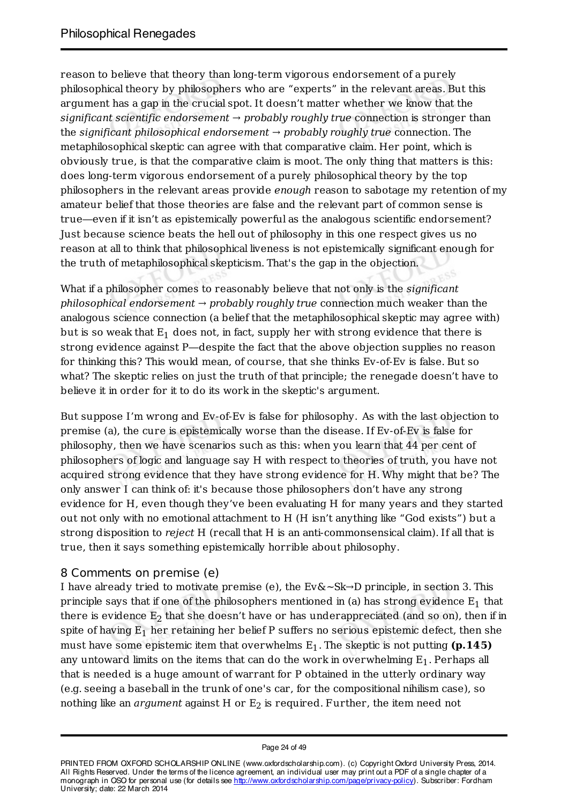reason to believe that theory than long-term vigorous endorsement of a purely philosophical theory by philosophers who are "experts" in the relevant areas. But this argument has a gap in the crucial spot. It doesn't matter whether we know that the significant scientific endorsement  $\rightarrow$  probably roughly true connection is stronger than the significant philosophical endorsement  $\rightarrow$  probably roughly true connection. The metaphilosophical skeptic can agree with that comparative claim. Her point, which is obviously true, is that the comparative claim is moot. The only thing that matters is this: does long-term vigorous endorsement of a purely philosophical theory by the top philosophers in the relevant areas provide enough reason to sabotage my retention of my amateur belief that those theories are false and the relevant part of common sense is true—even if it isn't as epistemically powerful as the analogous scientific endorsement? Just because science beats the hell out of philosophy in this one respect gives us no reason at all to think that philosophical liveness is not epistemically significant enough for the truth of metaphilosophical skepticism. That's the gap in the objection.

What if a philosopher comes to reasonably believe that not only is the significant philosophical endorsement  $\rightarrow$  probably roughly true connection much weaker than the analogous science connection (a belief that the metaphilosophical skeptic may agree with) but is so weak that  $E_1$  does not, in fact, supply her with strong evidence that there is strong evidence against P—despite the fact that the above objection supplies no reason for thinking this? This would mean, of course, that she thinks Ev-of-Ev is false. But so what? The skeptic relies on just the truth of that principle; the renegade doesn't have to believe it in order for it to do its work in the skeptic's argument.

But suppose I'm wrong and Ev-of-Ev is false for philosophy. As with the last objection to premise (a), the cure is epistemically worse than the disease. If Ev-of-Ev is false for philosophy, then we have scenarios such as this: when you learn that 44 per cent of philosophers of logic and language say H with respect to theories of truth, you have not acquired strong evidence that they have strong evidence for H. Why might that be? The only answer I can think of: it's because those philosophers don't have any strong evidence for H, even though they've been evaluating H for many years and they started out not only with no emotional attachment to H (H isn't anything like "God exists") but a strong disposition to reject H (recall that H is an anti-commonsensical claim). If all that is true, then it says something epistemically horrible about philosophy.

### 8 Comments on premise (e)

I have already tried to motivate premise (e), the  $Ev&Sk\rightarrow D$  principle, in section 3. This principle says that if one of the philosophers mentioned in (a) has strong evidence  $E_1$  that there is evidence  $E_2$  that she doesn't have or has underappreciated (and so on), then if in spite of having  $E_1$  her retaining her belief P suffers no serious epistemic defect, then she must have some epistemic item that overwhelms  $E_1$ . The skeptic is not putting  $(p.145)$ any untoward limits on the items that can do the work in overwhelming  $E_1$ . Perhaps all that is needed is a huge amount of warrant for P obtained in the utterly ordinary way (e.g. seeing a baseball in the trunk of one's car, for the compositional nihilism case), so nothing like an *argument* against H or  $E_2$  is required. Further, the item need not

PRINTED FROM OXFORD SCHOLARSHIP ONLINE (www.oxfordscholarship.com). (c) Copyright Oxford University Press, 2014. All Rights Reserved. Under the terms of the licence agreement, an individual user may print out a PDF of a single chapter of a monograph in OSO for personal use (for details see http://www.oxfordscholarship.com/page/privacy-policy). Subscriber: Fordham University; date: 22 March 2014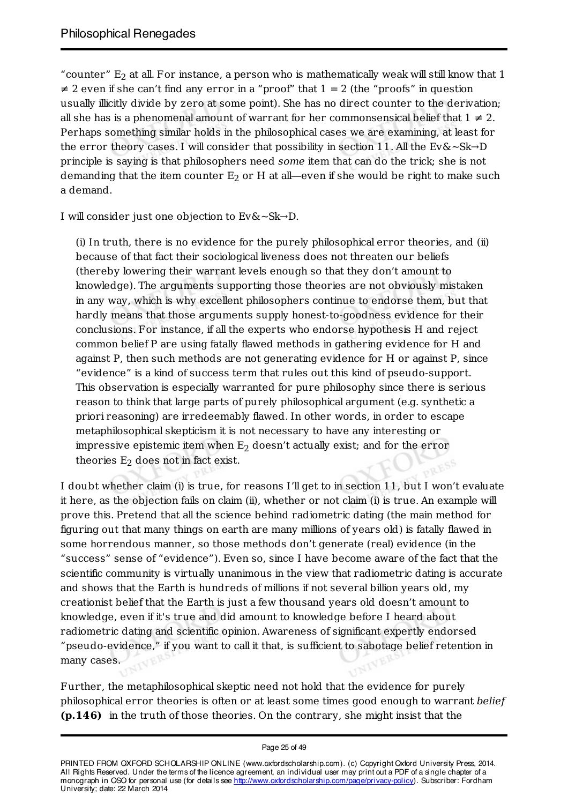"counter"  $E_2$  at all. For instance, a person who is mathematically weak will still know that 1  $\neq$  2 even if she can't find any error in a "proof" that  $1 = 2$  (the "proofs" in question usually illicitly divide by zero at some point). She has no direct counter to the derivation; all she has is a phenomenal amount of warrant for her commonsensical belief that  $1 \neq 2$ . Perhaps something similar holds in the philosophical cases we are examining, at least for the error theory cases. I will consider that possibility in section 11. All the  $Ev&Sk\rightarrow D$ principle is saying is that philosophers need some item that can do the trick; she is not demanding that the item counter  $E_2$  or H at all—even if she would be right to make such a demand.

I will consider just one objection to Ev&~Sk→D.

(i) In truth, there is no evidence for the purely philosophical error theories, and (ii) because of that fact their sociological liveness does not threaten our beliefs (thereby lowering their warrant levels enough so that they don't amount to knowledge). The arguments supporting those theories are not obviously mistaken in any way, which is why excellent philosophers continue to endorse them, but that hardly means that those arguments supply honest-to-goodness evidence for their conclusions. For instance, if all the experts who endorse hypothesis H and reject common belief P are using fatally flawed methods in gathering evidence for H and against P, then such methods are not generating evidence for H or against P, since "evidence" is a kind of success term that rules out this kind of pseudo-support. This observation is especially warranted for pure philosophy since there is serious reason to think that large parts of purely philosophical argument (e.g. synthetic a priori reasoning) are irredeemably flawed. In other words, in order to escape metaphilosophical skepticism it is not necessary to have any interesting or impressive epistemic item when  $E_2$  doesn't actually exist; and for the error theories  $E_2$  does not in fact exist.

I doubt whether claim (i) is true, for reasons I'll get to in section 11, but I won't evaluate it here, as the objection fails on claim (ii), whether or not claim (i) is true. An example will prove this. Pretend that all the science behind radiometric dating (the main method for figuring out that many things on earth are many millions of years old) is fatally flawed in some horrendous manner, so those methods don't generate (real) evidence (in the "success" sense of "evidence"). Even so, since I have become aware of the fact that the scientific community is virtually unanimous in the view that radiometric dating is accurate and shows that the Earth is hundreds of millions if not several billion years old, my creationist belief that the Earth is just a few thousand years old doesn't amount to knowledge, even if it's true and did amount to knowledge before I heard about radiometric dating and scientific opinion. Awareness of significant expertly endorsed "pseudo-evidence," if you want to call it that, is sufficient to sabotage belief retention in many cases.

Further, the metaphilosophical skeptic need not hold that the evidence for purely philosophical error theories is often or at least some times good enough to warrant belief **(p.146)** in the truth of those theories. On the contrary, she might insist that the

#### Page 25 of 49

PRINTED FROM OXFORD SCHOLARSHIP ONLINE (www.oxfordscholarship.com). (c) Copyright Oxford University Press, 2014. All Rights Reserved. Under the terms of the licence agreement, an individual user may print out a PDF of a single chapter of a monograph in OSO for personal use (for details see http://www.oxfordscholarship.com/page/privacy-policy). Subscriber: Fordham University; date: 22 March 2014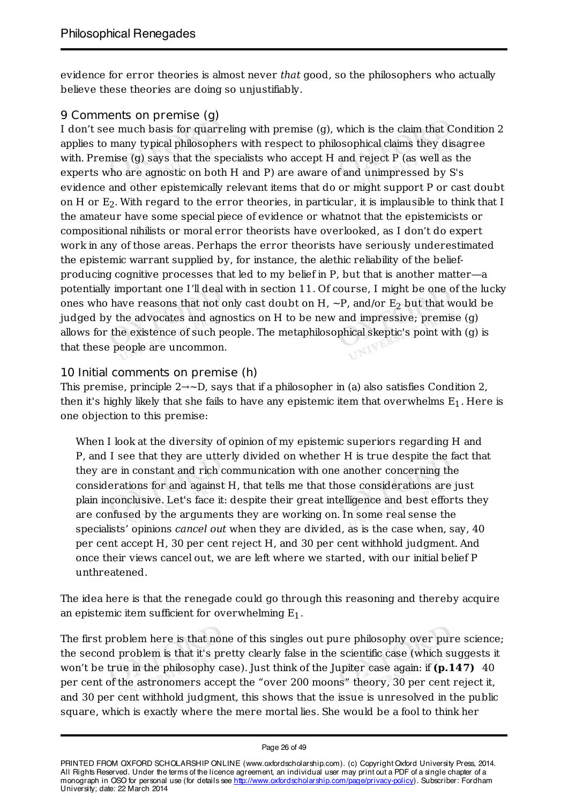evidence for error theories is almost never that good, so the philosophers who actually believe these theories are doing so unjustifiably.

### 9 Comments on premise (g)

I don't see much basis for quarreling with premise (g), which is the claim that Condition 2 applies to many typical philosophers with respect to philosophical claims they disagree with. Premise (g) says that the specialists who accept H and reject P (as well as the experts who are agnostic on both H and P) are aware of and unimpressed by S's evidence and other epistemically relevant items that do or might support P or cast doubt on H or  $E_2$ . With regard to the error theories, in particular, it is implausible to think that I the amateur have some special piece of evidence or whatnot that the epistemicists or compositional nihilists or moral error theorists have overlooked, as I don't do expert work in any of those areas. Perhaps the error theorists have seriously underestimated the epistemic warrant supplied by, for instance, the alethic reliability of the beliefproducing cognitive processes that led to my belief in P, but that is another matter—a potentially important one I'll deal with in section 11. Of course, I might be one of the lucky ones who have reasons that not only cast doubt on H,  $\sim$ P, and/or E<sub>2</sub> but that would be judged by the advocates and agnostics on H to be new and impressive; premise (g) allows for the existence of such people. The metaphilosophical skeptic's point with (g) is that these people are uncommon.<br> $16 + ...$ that these people are uncommon.

### 10 Initial comments on premise (h)

This premise, principle  $2 \rightarrow \sim D$ , says that if a philosopher in (a) also satisfies Condition 2, then it's highly likely that she fails to have any epistemic item that overwhelms  $E_1$ . Here is one objection to this premise:

When I look at the diversity of opinion of my epistemic superiors regarding H and P, and I see that they are utterly divided on whether H is true despite the fact that they are in constant and rich communication with one another concerning the considerations for and against H, that tells me that those considerations are just plain inconclusive. Let's face it: despite their great intelligence and best efforts they are confused by the arguments they are working on. In some real sense the specialists' opinions cancel out when they are divided, as is the case when, say, 40 per cent accept H, 30 per cent reject H, and 30 per cent withhold judgment. And once their views cancel out, we are left where we started, with our initial belief P unthreatened.

The idea here is that the renegade could go through this reasoning and thereby acquire an epistemic item sufficient for overwhelming  $E_1$ .

The first problem here is that none of this singles out pure philosophy over pure science; the second problem is that it's pretty clearly false in the scientific case (which suggests it won't be true in the philosophy case). Just think of the Jupiter case again: if **(p.147)** 40 per cent of the astronomers accept the "over 200 moons" theory, 30 per cent reject it, and 30 per cent withhold judgment, this shows that the issue is unresolved in the public square, which is exactly where the mere mortal lies. She would be a fool to think her

PRINTED FROM OXFORD SCHOLARSHIP ONLINE (www.oxfordscholarship.com). (c) Copyright Oxford University Press, 2014. All Rights Reserved. Under the terms of the licence agreement, an individual user may print out a PDF of a single chapter of a monograph in OSO for personal use (for details see http://www.oxfordscholarship.com/page/privacy-policy). Subscriber: Fordham University; date: 22 March 2014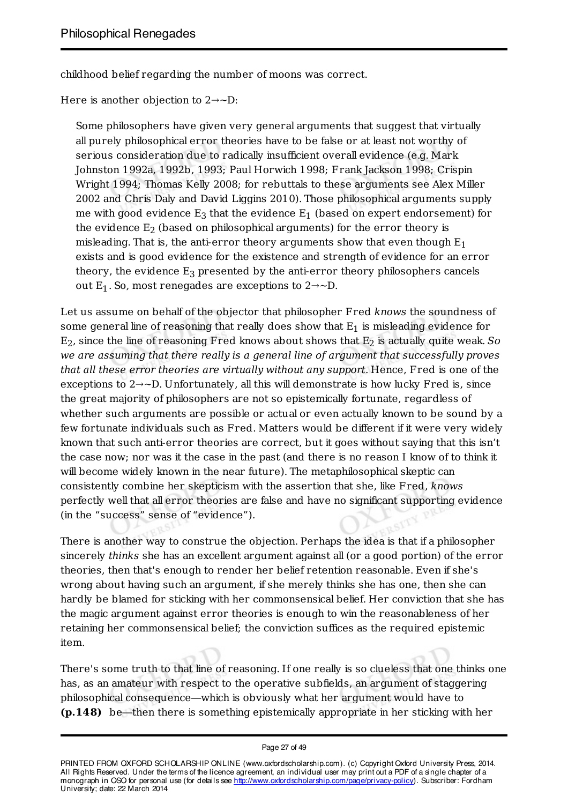childhood belief regarding the number of moons was correct.

Here is another objection to  $2 \rightarrow \sim D$ :

Some philosophers have given very general arguments that suggest that virtually all purely philosophical error theories have to be false or at least not worthy of serious consideration due to radically insufficient overall evidence (e.g. Mark Johnston 1992a, 1992b, 1993; Paul Horwich 1998; Frank Jackson 1998; Crispin Wright 1994; Thomas Kelly 2008; for rebuttals to these arguments see Alex Miller 2002 and Chris Daly and David Liggins 2010). Those philosophical arguments supply me with good evidence  $E_3$  that the evidence  $E_1$  (based on expert endorsement) for the evidence  $E_2$  (based on philosophical arguments) for the error theory is misleading. That is, the anti-error theory arguments show that even though  $E_1$ exists and is good evidence for the existence and strength of evidence for an error theory, the evidence  $E_3$  presented by the anti-error theory philosophers cancels out E<sub>1</sub>. So, most renegades are exceptions to  $2 \rightarrow \sim D$ .

Let us assume on behalf of the objector that philosopher Fred knows the soundness of some general line of reasoning that really does show that  $E_1$  is misleading evidence for  $E_2$ , since the line of reasoning Fred knows about shows that  $E_2$  is actually quite weak. So we are assuming that there really is a general line of argument that successfully proves that all these error theories are virtually without any support. Hence, Fred is one of the exceptions to 2→~D. Unfortunately, all this will demonstrate is how lucky Fred is, since the great majority of philosophers are not so epistemically fortunate, regardless of whether such arguments are possible or actual or even actually known to be sound by a few fortunate individuals such as Fred. Matters would be different if it were very widely known that such anti-error theories are correct, but it goes without saying that this isn't the case now; nor was it the case in the past (and there is no reason I know of to think it will become widely known in the near future). The metaphilosophical skeptic can consistently combine her skepticism with the assertion that she, like Fred, knows perfectly well that all error theories are false and have no significant supporting evidence PRES (in the "success" sense of "evidence").

There is another way to construe the objection. Perhaps the idea is that if a philosopher sincerely thinks she has an excellent argument against all (or a good portion) of the error theories, then that's enough to render her belief retention reasonable. Even if she's wrong about having such an argument, if she merely thinks she has one, then she can hardly be blamed for sticking with her commonsensical belief. Her conviction that she has the magic argument against error theories is enough to win the reasonableness of her retaining her commonsensical belief; the conviction suffices as the required epistemic item.

There's some truth to that line of reasoning. If one really is so clueless that one thinks one has, as an amateur with respect to the operative subfields, an argument of staggering philosophical consequence—which is obviously what her argument would have to **(p.148)** be—then there is something epistemically appropriate in her sticking with her

Page 27 of 49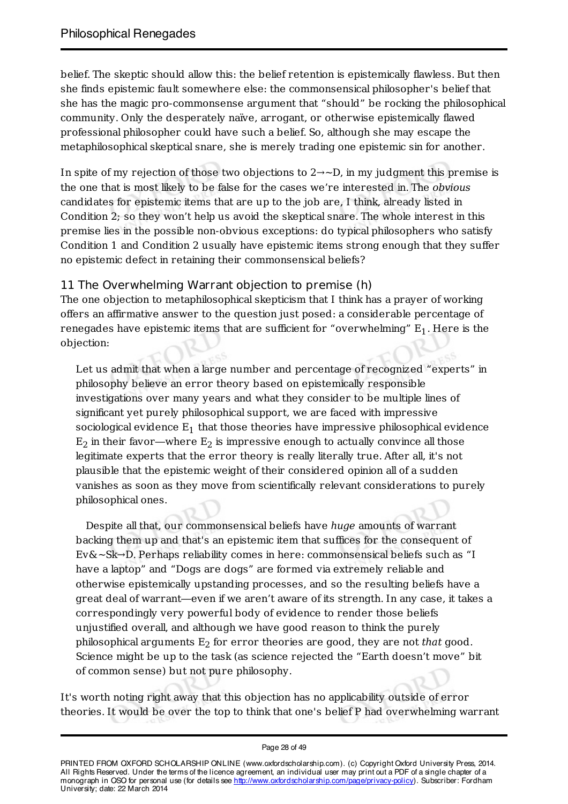belief. The skeptic should allow this: the belief retention is epistemically flawless. But then she finds epistemic fault somewhere else: the commonsensical philosopher's belief that she has the magic pro-commonsense argument that "should" be rocking the philosophical community. Only the desperately naïve, arrogant, or otherwise epistemically flawed professional philosopher could have such a belief. So, although she may escape the metaphilosophical skeptical snare, she is merely trading one epistemic sin for another.

In spite of my rejection of those two objections to  $2 \rightarrow \sim D$ , in my judgment this premise is the one that is most likely to be false for the cases we're interested in. The obvious candidates for epistemic items that are up to the job are, I think, already listed in Condition 2; so they won't help us avoid the skeptical snare. The whole interest in this premise lies in the possible non-obvious exceptions: do typical philosophers who satisfy Condition 1 and Condition 2 usually have epistemic items strong enough that they suffer no epistemic defect in retaining their commonsensical beliefs?

### 11 The Overwhelming Warrant objection to premise (h)

The one objection to metaphilosophical skepticism that I think has a prayer of working offers an affirmative answer to the question just posed: a considerable percentage of renegades have epistemic items that are sufficient for "overwhelming"  $E_1$ . Here is the objection:

Let us admit that when a large number and percentage of recognized "experts" in philosophy believe an error theory based on epistemically responsible investigations over many years and what they consider to be multiple lines of significant yet purely philosophical support, we are faced with impressive sociological evidence  $E_1$  that those theories have impressive philosophical evidence  $E_2$  in their favor—where  $E_2$  is impressive enough to actually convince all those legitimate experts that the error theory is really literally true. After all, it's not plausible that the epistemic weight of their considered opinion all of a sudden vanishes as soon as they move from scientifically relevant considerations to purely philosophical ones.

Despite all that, our commonsensical beliefs have huge amounts of warrant backing them up and that's an epistemic item that suffices for the consequent of Ev&~Sk→D. Perhaps reliability comes in here: commonsensical beliefs such as "I have a laptop" and "Dogs are dogs" are formed via extremely reliable and otherwise epistemically upstanding processes, and so the resulting beliefs have a great deal of warrant—even if we aren't aware of its strength. In any case, it takes a correspondingly very powerful body of evidence to render those beliefs unjustified overall, and although we have good reason to think the purely philosophical arguments  $E_2$  for error theories are good, they are not that good. Science might be up to the task (as science rejected the "Earth doesn't move" bit of common sense) but not pure philosophy.

It's worth noting right away that this objection has no applicability outside of error theories. It would be over the top to think that one's belief P had overwhelming warrant

#### Page 28 of 49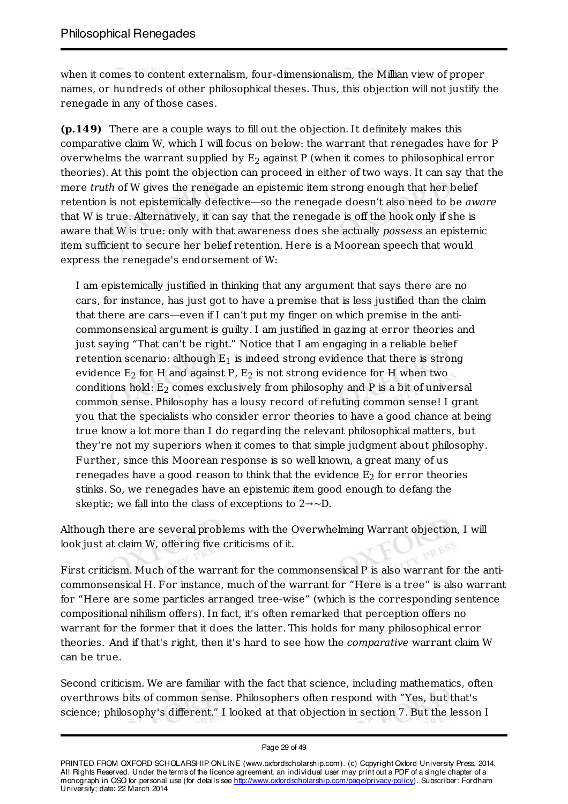when it comes to content externalism, four-dimensionalism, the Millian view of proper names, or hundreds of other philosophical theses. Thus, this objection will not justify the renegade in any of those cases.

**(p.149)** There are a couple ways to fill out the objection. It definitely makes this comparative claim W, which I will focus on below: the warrant that renegades have for P overwhelms the warrant supplied by  $E_2$  against P (when it comes to philosophical error theories). At this point the objection can proceed in either of two ways. It can say that the mere truth of W gives the renegade an epistemic item strong enough that her belief retention is not epistemically defective—so the renegade doesn't also need to be aware that W is true. Alternatively, it can say that the renegade is off the hook only if she is aware that W is true: only with that awareness does she actually possess an epistemic item sufficient to secure her belief retention. Here is a Moorean speech that would express the renegade's endorsement of W:

I am epistemically justified in thinking that any argument that says there are no cars, for instance, has just got to have a premise that is less justified than the claim that there are cars—even if I can't put my finger on which premise in the anticommonsensical argument is guilty. I am justified in gazing at error theories and just saying "That can't be right." Notice that I am engaging in a reliable belief retention scenario: although  $E_1$  is indeed strong evidence that there is strong evidence  $E_2$  for H and against P,  $E_2$  is not strong evidence for H when two conditions hold:  $E_2$  comes exclusively from philosophy and P is a bit of universal common sense. Philosophy has a lousy record of refuting common sense! I grant you that the specialists who consider error theories to have a good chance at being true know a lot more than I do regarding the relevant philosophical matters, but they're not my superiors when it comes to that simple judgment about philosophy. Further, since this Moorean response is so well known, a great many of us renegades have a good reason to think that the evidence  $E_2$  for error theories stinks. So, we renegades have an epistemic item good enough to defang the skeptic; we fall into the class of exceptions to  $2 \rightarrow \sim D$ .

Although there are several problems with the Overwhelming Warrant objection, I will look just at claim W, offering five criticisms of it.

First criticism. Much of the warrant for the commonsensical P is also warrant for the anticommonsensical H. For instance, much of the warrant for "Here is a tree" is also warrant for "Here are some particles arranged tree-wise" (which is the corresponding sentence compositional nihilism offers). In fact, it's often remarked that perception offers no warrant for the former that it does the latter. This holds for many philosophical error theories. And if that's right, then it's hard to see how the comparative warrant claim W can be true.

Second criticism. We are familiar with the fact that science, including mathematics, often overthrows bits of common sense. Philosophers often respond with "Yes, but that's science; philosophy's different." I looked at that objection in section 7. But the lesson I

Page 29 of 49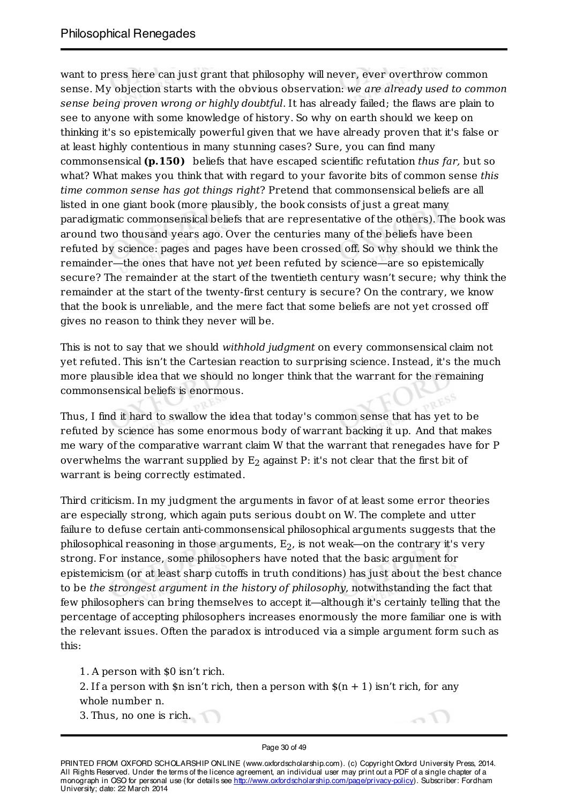want to press here can just grant that philosophy will never, ever overthrow common sense. My objection starts with the obvious observation: we are already used to common sense being proven wrong or highly doubtful. It has already failed; the flaws are plain to see to anyone with some knowledge of history. So why on earth should we keep on thinking it's so epistemically powerful given that we have already proven that it's false or at least highly contentious in many stunning cases? Sure, you can find many commonsensical **(p.150)** beliefs that have escaped scientific refutation thus far, but so what? What makes you think that with regard to your favorite bits of common sense this time common sense has got things right? Pretend that commonsensical beliefs are all listed in one giant book (more plausibly, the book consists of just a great many paradigmatic commonsensical beliefs that are representative of the others). The book was around two thousand years ago. Over the centuries many of the beliefs have been refuted by science: pages and pages have been crossed off. So why should we think the remainder—the ones that have not yet been refuted by science—are so epistemically secure? The remainder at the start of the twentieth century wasn't secure; why think the remainder at the start of the twenty-first century is secure? On the contrary, we know that the book is unreliable, and the mere fact that some beliefs are not yet crossed off gives no reason to think they never will be.

This is not to say that we should *withhold judgment* on every commonsensical claim not yet refuted. This isn't the Cartesian reaction to surprising science. Instead, it's the much more plausible idea that we should no longer think that the warrant for the remaining commonsensical beliefs is enormous.

Thus, I find it hard to swallow the idea that today's common sense that has yet to be refuted by science has some enormous body of warrant backing it up. And that makes me wary of the comparative warrant claim W that the warrant that renegades have for P overwhelms the warrant supplied by  $E_2$  against P: it's not clear that the first bit of warrant is being correctly estimated.

Third criticism. In my judgment the arguments in favor of at least some error theories are especially strong, which again puts serious doubt on W. The complete and utter failure to defuse certain anti-commonsensical philosophical arguments suggests that the philosophical reasoning in those arguments,  $E_2$ , is not weak—on the contrary it's very strong. For instance, some philosophers have noted that the basic argument for epistemicism (or at least sharp cutoffs in truth conditions) has just about the best chance to be the strongest argument in the history of philosophy, notwithstanding the fact that few philosophers can bring themselves to accept it—although it's certainly telling that the percentage of accepting philosophers increases enormously the more familiar one is with the relevant issues. Often the paradox is introduced via a simple argument form such as this:

1. A person with \$0 isn't rich.

2. If a person with  $\sin$  isn't rich, then a person with  $\sin + 1$  isn't rich, for any whole number n.

3. Thus, no one is rich.

#### Page 30 of 49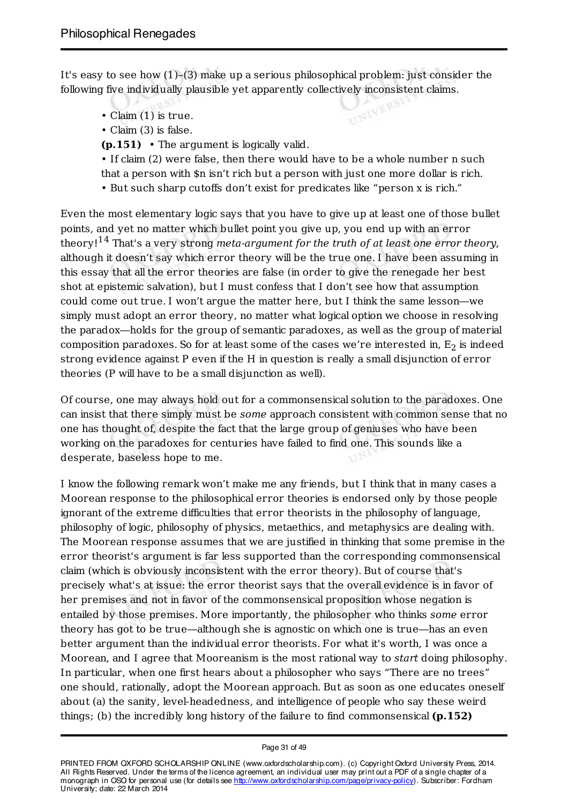It's easy to see how (1)–(3) make up a serious philosophical problem: just consider the following five individually plausible yet apparently collectively inconsistent claims.<br>  $\bullet$  Claim (1) is true.<br>  $\bullet$  Claim (3) is false

- Claim (1) is true.
- Claim (3) is false.
- **(p.151)** The argument is logically valid.
- If claim (2) were false, then there would have to be a whole number n such that a person with \$n isn't rich but a person with just one more dollar is rich.
- But such sharp cutoffs don't exist for predicates like "person x is rich."

Even the most elementary logic says that you have to give up at least one of those bullet points, and yet no matter which bullet point you give up, you end up with an error theory! $^{14}$  That's a very strong meta-argument for the truth of at least one error theory, although it doesn't say which error theory will be the true one. I have been assuming in this essay that all the error theories are false (in order to give the renegade her best shot at epistemic salvation), but I must confess that I don't see how that assumption could come out true. I won't argue the matter here, but I think the same lesson—we simply must adopt an error theory, no matter what logical option we choose in resolving the paradox—holds for the group of semantic paradoxes, as well as the group of material composition paradoxes. So for at least some of the cases we're interested in,  $E_2$  is indeed strong evidence against P even if the H in question is really a small disjunction of error theories (P will have to be a small disjunction as well).

Of course, one may always hold out for a commonsensical solution to the paradoxes. One can insist that there simply must be some approach consistent with common sense that no one has thought of, despite the fact that the large group of geniuses who have been working on the paradoxes for centuries have failed to find one. This sounds like a desperate, baseless hope to me.

I know the following remark won't make me any friends, but I think that in many cases a Moorean response to the philosophical error theories is endorsed only by those people ignorant of the extreme difficulties that error theorists in the philosophy of language, philosophy of logic, philosophy of physics, metaethics, and metaphysics are dealing with. The Moorean response assumes that we are justified in thinking that some premise in the error theorist's argument is far less supported than the corresponding commonsensical claim (which is obviously inconsistent with the error theory). But of course that's precisely what's at issue: the error theorist says that the overall evidence is in favor of her premises and not in favor of the commonsensical proposition whose negation is entailed by those premises. More importantly, the philosopher who thinks some error theory has got to be true—although she is agnostic on which one is true—has an even better argument than the individual error theorists. For what it's worth, I was once a Moorean, and I agree that Mooreanism is the most rational way to start doing philosophy. In particular, when one first hears about a philosopher who says "There are no trees" one should, rationally, adopt the Moorean approach. But as soon as one educates oneself about (a) the sanity, level-headedness, and intelligence of people who say these weird things; (b) the incredibly long history of the failure to find commonsensical **(p.152)**

PRINTED FROM OXFORD SCHOLARSHIP ONLINE (www.oxfordscholarship.com). (c) Copyright Oxford University Press, 2014. All Rights Reserved. Under the terms of the licence agreement, an individual user may print out a PDF of a single chapter of a monograph in OSO for personal use (for details see http://www.oxfordscholarship.com/page/privacy-policy). Subscriber: Fordham University; date: 22 March 2014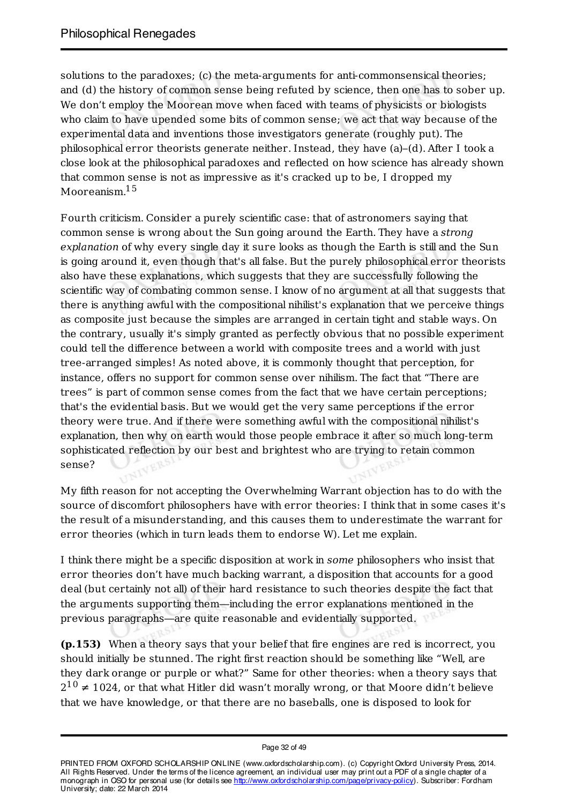solutions to the paradoxes; (c) the meta-arguments for anti-commonsensical theories; and (d) the history of common sense being refuted by science, then one has to sober up. We don't employ the Moorean move when faced with teams of physicists or biologists who claim to have upended some bits of common sense; we act that way because of the experimental data and inventions those investigators generate (roughly put). The philosophical error theorists generate neither. Instead, they have (a)–(d). After I took a close look at the philosophical paradoxes and reflected on how science has already shown that common sense is not as impressive as it's cracked up to be, I dropped my Mooreanism. 15

Fourth criticism. Consider a purely scientific case: that of astronomers saying that common sense is wrong about the Sun going around the Earth. They have a strong explanation of why every single day it sure looks as though the Earth is still and the Sun is going around it, even though that's all false. But the purely philosophical error theorists also have these explanations, which suggests that they are successfully following the scientific way of combating common sense. I know of no argument at all that suggests that there is anything awful with the compositional nihilist's explanation that we perceive things as composite just because the simples are arranged in certain tight and stable ways. On the contrary, usually it's simply granted as perfectly obvious that no possible experiment could tell the difference between a world with composite trees and a world with just tree-arranged simples! As noted above, it is commonly thought that perception, for instance, offers no support for common sense over nihilism. The fact that "There are trees" is part of common sense comes from the fact that we have certain perceptions; that's the evidential basis. But we would get the very same perceptions if the error theory were true. And if there were something awful with the compositional nihilist's explanation, then why on earth would those people embrace it after so much long-term sophisticated reflection by our best and brightest who are trying to retain common sense?

My fifth reason for not accepting the Overwhelming Warrant objection has to do with the source of discomfort philosophers have with error theories: I think that in some cases it's the result of a misunderstanding, and this causes them to underestimate the warrant for error theories (which in turn leads them to endorse W). Let me explain.

I think there might be a specific disposition at work in some philosophers who insist that error theories don't have much backing warrant, a disposition that accounts for a good deal (but certainly not all) of their hard resistance to such theories despite the fact that the arguments supporting them—including the error explanations mentioned in the previous paragraphs—are quite reasonable and evidentially supported.

**(p.153)** When a theory says that your belief that fire engines are red is incorrect, you should initially be stunned. The right first reaction should be something like "Well, are they dark orange or purple or what?" Same for other theories: when a theory says that  $2^{10}$  ≠ 1024, or that what Hitler did wasn't morally wrong, or that Moore didn't believe that we have knowledge, or that there are no baseballs, one is disposed to look for

PRINTED FROM OXFORD SCHOLARSHIP ONLINE (www.oxfordscholarship.com). (c) Copyright Oxford University Press, 2014. All Rights Reserved. Under the terms of the licence agreement, an individual user may print out a PDF of a single chapter of a monograph in OSO for personal use (for details see http://www.oxfordscholarship.com/page/privacy-policy). Subscriber: Fordham University; date: 22 March 2014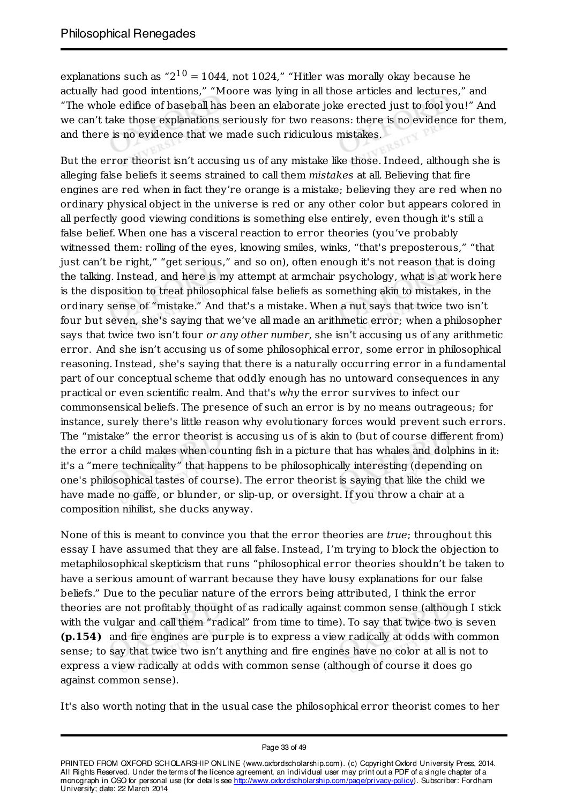explanations such as "2 $^{10}$  = 1044, not 1024," "Hitler was morally okay because he actually had good intentions," "Moore was lying in all those articles and lectures," and "The whole edifice of baseball has been an elaborate joke erected just to fool you!" And we can't take those explanations seriously for two reasons: there is no evidence for them, and there is no evidence that we made such ridiculous mistakes.

But the error theorist isn't accusing us of any mistake like those. Indeed, although she is alleging false beliefs it seems strained to call them mistakes at all. Believing that fire engines are red when in fact they're orange is a mistake; believing they are red when no ordinary physical object in the universe is red or any other color but appears colored in all perfectly good viewing conditions is something else entirely, even though it's still a false belief. When one has a visceral reaction to error theories (you've probably witnessed them: rolling of the eyes, knowing smiles, winks, "that's preposterous," "that just can't be right," "get serious," and so on), often enough it's not reason that is doing the talking. Instead, and here is my attempt at armchair psychology, what is at work here is the disposition to treat philosophical false beliefs as something akin to mistakes, in the ordinary sense of "mistake." And that's a mistake. When a nut says that twice two isn't four but seven, she's saying that we've all made an arithmetic error; when a philosopher says that twice two isn't four *or any other number*, she isn't accusing us of any arithmetic error. And she isn't accusing us of some philosophical error, some error in philosophical reasoning. Instead, she's saying that there is a naturally occurring error in a fundamental part of our conceptual scheme that oddly enough has no untoward consequences in any practical or even scientific realm. And that's why the error survives to infect our commonsensical beliefs. The presence of such an error is by no means outrageous; for instance, surely there's little reason why evolutionary forces would prevent such errors. The "mistake" the error theorist is accusing us of is akin to (but of course different from) the error a child makes when counting fish in a picture that has whales and dolphins in it: it's a "mere technicality" that happens to be philosophically interesting (depending on one's philosophical tastes of course). The error theorist is saying that like the child we have made no gaffe, or blunder, or slip-up, or oversight. If you throw a chair at a composition nihilist, she ducks anyway.

None of this is meant to convince you that the error theories are *true*; throughout this essay I have assumed that they are all false. Instead, I'm trying to block the objection to metaphilosophical skepticism that runs "philosophical error theories shouldn't be taken to have a serious amount of warrant because they have lousy explanations for our false beliefs." Due to the peculiar nature of the errors being attributed, I think the error theories are not profitably thought of as radically against common sense (although I stick with the vulgar and call them "radical" from time to time). To say that twice two is seven **(p.154)** and fire engines are purple is to express a view radically at odds with common sense; to say that twice two isn't anything and fire engines have no color at all is not to express a view radically at odds with common sense (although of course it does go against common sense).

It's also worth noting that in the usual case the philosophical error theorist comes to her

PRINTED FROM OXFORD SCHOLARSHIP ONLINE (www.oxfordscholarship.com). (c) Copyright Oxford University Press, 2014. All Rights Reserved. Under the terms of the licence agreement, an individual user may print out a PDF of a single chapter of a monograph in OSO for personal use (for details see http://www.oxfordscholarship.com/page/privacy-policy). Subscriber: Fordham University; date: 22 March 2014

#### Page 33 of 49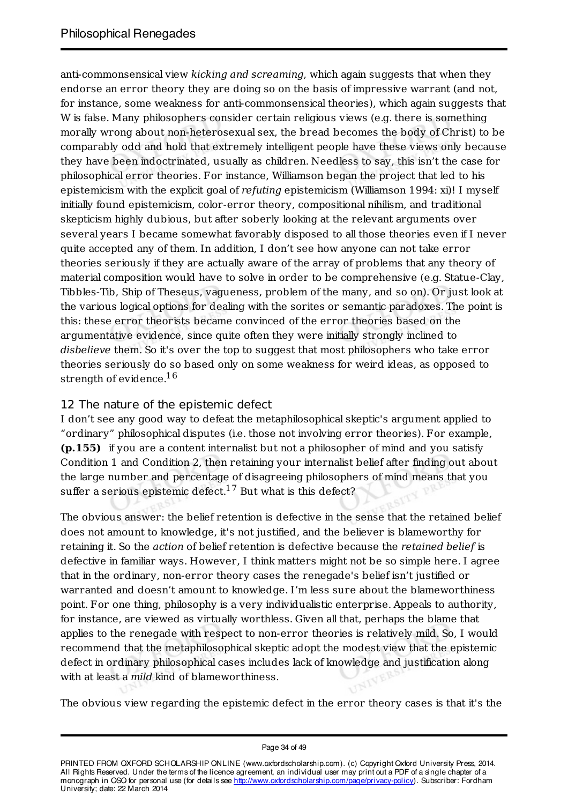anti-commonsensical view kicking and screaming, which again suggests that when they endorse an error theory they are doing so on the basis of impressive warrant (and not, for instance, some weakness for anti-commonsensical theories), which again suggests that W is false. Many philosophers consider certain religious views (e.g. there is something morally wrong about non-heterosexual sex, the bread becomes the body of Christ) to be comparably odd and hold that extremely intelligent people have these views only because they have been indoctrinated, usually as children. Needless to say, this isn't the case for philosophical error theories. For instance, Williamson began the project that led to his epistemicism with the explicit goal of *refuting* epistemicism (Williamson 1994: xi)! I myself initially found epistemicism, color-error theory, compositional nihilism, and traditional skepticism highly dubious, but after soberly looking at the relevant arguments over several years I became somewhat favorably disposed to all those theories even if I never quite accepted any of them. In addition, I don't see how anyone can not take error theories seriously if they are actually aware of the array of problems that any theory of material composition would have to solve in order to be comprehensive (e.g. Statue-Clay, Tibbles-Tib, Ship of Theseus, vagueness, problem of the many, and so on). Or just look at the various logical options for dealing with the sorites or semantic paradoxes. The point is this: these error theorists became convinced of the error theories based on the argumentative evidence, since quite often they were initially strongly inclined to disbelieve them. So it's over the top to suggest that most philosophers who take error theories seriously do so based only on some weakness for weird ideas, as opposed to strength of evidence. $^{16}$ 

### 12 The nature of the epistemic defect

I don't see any good way to defeat the metaphilosophical skeptic's argument applied to "ordinary" philosophical disputes (i.e. those not involving error theories). For example, **(p.155)** if you are a content internalist but not a philosopher of mind and you satisfy Condition 1 and Condition 2, then retaining your internalist belief after finding out about the large number and percentage of disagreeing philosophers of mind means that you suffer a serious epistemic defect. $^{17}$  But what is this defect?

The obvious answer: the belief retention is defective in the sense that the retained belief does not amount to knowledge, it's not justified, and the believer is blameworthy for retaining it. So the *action* of belief retention is defective because the *retained belief* is defective in familiar ways. However, I think matters might not be so simple here. I agree that in the ordinary, non-error theory cases the renegade's belief isn't justified or warranted and doesn't amount to knowledge. I'm less sure about the blameworthiness point. For one thing, philosophy is a very individualistic enterprise. Appeals to authority, for instance, are viewed as virtually worthless. Given all that, perhaps the blame that applies to the renegade with respect to non-error theories is relatively mild. So, I would recommend that the metaphilosophical skeptic adopt the modest view that the epistemic defect in ordinary philosophical cases includes lack of knowledge and justification along with at least a *mild* kind of blameworthiness.

The obvious view regarding the epistemic defect in the error theory cases is that it's the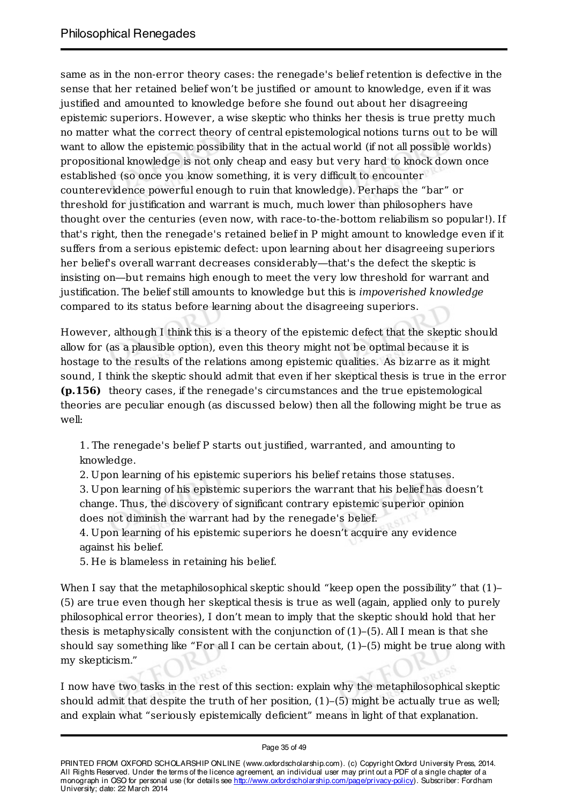same as in the non-error theory cases: the renegade's belief retention is defective in the sense that her retained belief won't be justified or amount to knowledge, even if it was justified and amounted to knowledge before she found out about her disagreeing epistemic superiors. However, a wise skeptic who thinks her thesis is true pretty much no matter what the correct theory of central epistemological notions turns out to be will want to allow the epistemic possibility that in the actual world (if not all possible worlds) propositional knowledge is not only cheap and easy but very hard to knock down once established (so once you know something, it is very difficult to encounter counterevidence powerful enough to ruin that knowledge). Perhaps the "bar" or threshold for justification and warrant is much, much lower than philosophers have thought over the centuries (even now, with race-to-the-bottom reliabilism so popular!). If that's right, then the renegade's retained belief in P might amount to knowledge even if it suffers from a serious epistemic defect: upon learning about her disagreeing superiors her belief's overall warrant decreases considerably—that's the defect the skeptic is insisting on—but remains high enough to meet the very low threshold for warrant and justification. The belief still amounts to knowledge but this is impoverished knowledge compared to its status before learning about the disagreeing superiors.

However, although I think this is a theory of the epistemic defect that the skeptic should allow for (as a plausible option), even this theory might not be optimal because it is hostage to the results of the relations among epistemic qualities. As bizarre as it might sound, I think the skeptic should admit that even if her skeptical thesis is true in the error **(p.156)** theory cases, if the renegade's circumstances and the true epistemological theories are peculiar enough (as discussed below) then all the following might be true as well:

1. The renegade's belief P starts out justified, warranted, and amounting to knowledge.

2. Upon learning of his epistemic superiors his belief retains those statuses.

3. Upon learning of his epistemic superiors the warrant that his belief has doesn't change. Thus, the discovery of significant contrary epistemic superior opinion does not diminish the warrant had by the renegade's belief.

4. Upon learning of his epistemic superiors he doesn't acquire any evidence against his belief. UNI

5. He is blameless in retaining his belief.

When I say that the metaphilosophical skeptic should "keep open the possibility" that  $(1)$ – (5) are true even though her skeptical thesis is true as well (again, applied only to purely philosophical error theories), I don't mean to imply that the skeptic should hold that her thesis is metaphysically consistent with the conjunction of  $(1)$ – $(5)$ . All I mean is that she should say something like "For all I can be certain about,  $(1)$ – $(5)$  might be true along with my skepticism."

I now have two tasks in the rest of this section: explain why the metaphilosophical skeptic should admit that despite the truth of her position, (1)–(5) might be actually true as well; and explain what "seriously epistemically deficient" means in light of that explanation.

#### Page 35 of 49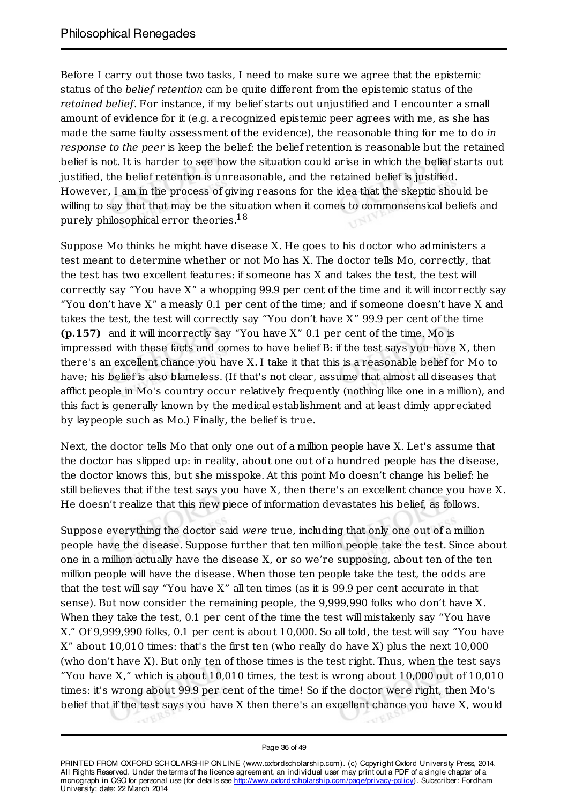Before I carry out those two tasks, I need to make sure we agree that the epistemic status of the belief retention can be quite different from the epistemic status of the retained belief. For instance, if my belief starts out unjustified and I encounter a small amount of evidence for it (e.g. a recognized epistemic peer agrees with me, as she has made the same faulty assessment of the evidence), the reasonable thing for me to do in response to the peer is keep the belief: the belief retention is reasonable but the retained belief is not. It is harder to see how the situation could arise in which the belief starts out justified, the belief retention is unreasonable, and the retained belief is justified. However, I am in the process of giving reasons for the idea that the skeptic should be willing to say that that may be the situation when it comes to commonsensical beliefs and **BRS** purely philosophical error theories. $^{18}$ 

Suppose Mo thinks he might have disease X. He goes to his doctor who administers a test meant to determine whether or not Mo has X. The doctor tells Mo, correctly, that the test has two excellent features: if someone has X and takes the test, the test will correctly say "You have X" a whopping 99.9 per cent of the time and it will incorrectly say "You don't have X" a measly 0.1 per cent of the time; and if someone doesn't have X and takes the test, the test will correctly say "You don't have X" 99.9 per cent of the time **(p.157)** and it will incorrectly say "You have X" 0.1 per cent of the time. Mo is impressed with these facts and comes to have belief B: if the test says you have X, then there's an excellent chance you have X. I take it that this is a reasonable belief for Mo to have; his belief is also blameless. (If that's not clear, assume that almost all diseases that afflict people in Mo's country occur relatively frequently (nothing like one in a million), and this fact is generally known by the medical establishment and at least dimly appreciated by laypeople such as Mo.) Finally, the belief is true.

Next, the doctor tells Mo that only one out of a million people have X. Let's assume that the doctor has slipped up: in reality, about one out of a hundred people has the disease, the doctor knows this, but she misspoke. At this point Mo doesn't change his belief: he still believes that if the test says you have X, then there's an excellent chance you have X. He doesn't realize that this new piece of information devastates his belief, as follows.

Suppose everything the doctor said were true, including that only one out of a million people have the disease. Suppose further that ten million people take the test. Since about one in a million actually have the disease X, or so we're supposing, about ten of the ten million people will have the disease. When those ten people take the test, the odds are that the test will say "You have X" all ten times (as it is 99.9 per cent accurate in that sense). But now consider the remaining people, the 9,999,990 folks who don't have X. When they take the test, 0.1 per cent of the time the test will mistakenly say "You have X." Of 9,999,990 folks, 0.1 per cent is about 10,000. So all told, the test will say "You have X" about 10,010 times: that's the first ten (who really do have X) plus the next 10,000 (who don't have X). But only ten of those times is the test right. Thus, when the test says "You have  $X''$ , which is about  $10,010$  times, the test is wrong about  $10,000$  out of  $10,010$ times: it's wrong about 99.9 per cent of the time! So if the doctor were right, then Mo's belief that if the test says you have X then there's an excellent chance you have X, would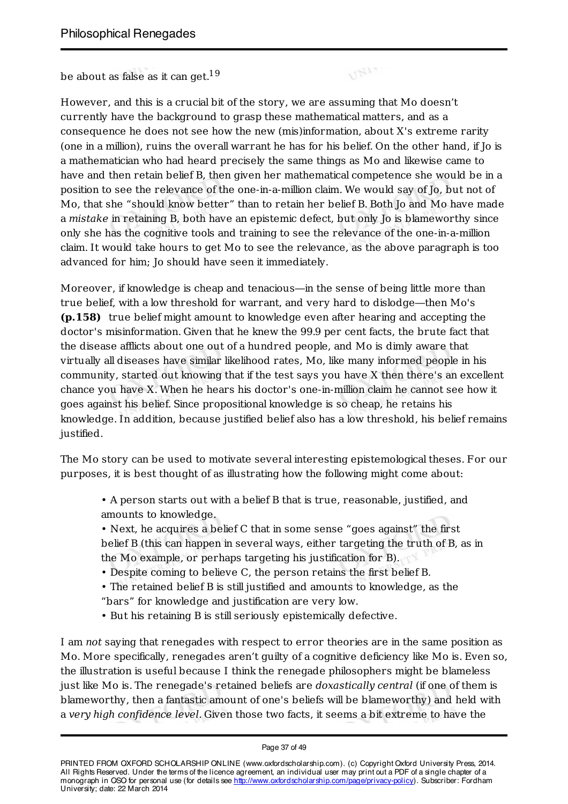be about as false as it can get. $^{19}$ 

However, and this is a crucial bit of the story, we are assuming that Mo doesn't currently have the background to grasp these mathematical matters, and as a consequence he does not see how the new (mis)information, about X's extreme rarity (one in a million), ruins the overall warrant he has for his belief. On the other hand, if Jo is a mathematician who had heard precisely the same things as Mo and likewise came to have and then retain belief B, then given her mathematical competence she would be in a position to see the relevance of the one-in-a-million claim. We would say of Jo, but not of Mo, that she "should know better" than to retain her belief B. Both Jo and Mo have made a mistake in retaining B, both have an epistemic defect, but only Jo is blameworthy since only she has the cognitive tools and training to see the relevance of the one-in-a-million claim. It would take hours to get Mo to see the relevance, as the above paragraph is too advanced for him; Jo should have seen it immediately.

UNIVERS,

Moreover, if knowledge is cheap and tenacious—in the sense of being little more than true belief, with a low threshold for warrant, and very hard to dislodge—then Mo's **(p.158)** true belief might amount to knowledge even after hearing and accepting the doctor's misinformation. Given that he knew the 99.9 per cent facts, the brute fact that the disease afflicts about one out of a hundred people, and Mo is dimly aware that virtually all diseases have similar likelihood rates, Mo, like many informed people in his community, started out knowing that if the test says you have X then there's an excellent chance you have X. When he hears his doctor's one-in-million claim he cannot see how it goes against his belief. Since propositional knowledge is so cheap, he retains his knowledge. In addition, because justified belief also has a low threshold, his belief remains justified.

The Mo story can be used to motivate several interesting epistemological theses. For our purposes, it is best thought of as illustrating how the following might come about:

• A person starts out with a belief B that is true, reasonable, justified, and amounts to knowledge.

• Next, he acquires a belief C that in some sense "goes against" the first belief B (this can happen in several ways, either targeting the truth of B, as in the Mo example, or perhaps targeting his justification for B). ORES

- Despite coming to believe C, the person retains the first belief B.
- The retained belief B is still justified and amounts to knowledge, as the
- "bars" for knowledge and justification are very low.
- But his retaining B is still seriously epistemically defective.

I am not saying that renegades with respect to error theories are in the same position as Mo. More specifically, renegades aren't guilty of a cognitive deficiency like Mo is. Even so, the illustration is useful because I think the renegade philosophers might be blameless just like Mo is. The renegade's retained beliefs are doxastically central (if one of them is blameworthy, then a fantastic amount of one's beliefs will be blameworthy) and held with a very high confidence level. Given those two facts, it seems a bit extreme to have the

Page 37 of 49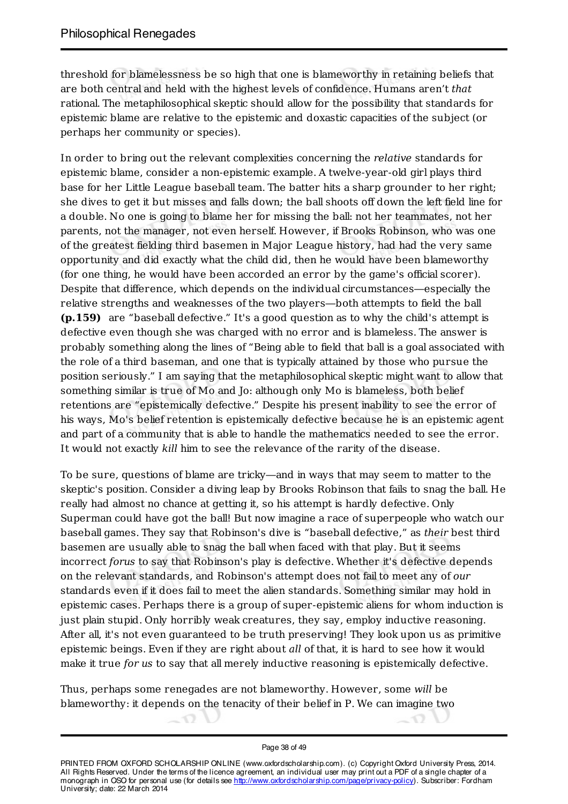threshold for blamelessness be so high that one is blameworthy in retaining beliefs that are both central and held with the highest levels of confidence. Humans aren't that rational. The metaphilosophical skeptic should allow for the possibility that standards for epistemic blame are relative to the epistemic and doxastic capacities of the subject (or perhaps her community or species).

In order to bring out the relevant complexities concerning the relative standards for epistemic blame, consider a non-epistemic example. A twelve-year-old girl plays third base for her Little League baseball team. The batter hits a sharp grounder to her right; she dives to get it but misses and falls down; the ball shoots off down the left field line for a double. No one is going to blame her for missing the ball: not her teammates, not her parents, not the manager, not even herself. However, if Brooks Robinson, who was one of the greatest fielding third basemen in Major League history, had had the very same opportunity and did exactly what the child did, then he would have been blameworthy (for one thing, he would have been accorded an error by the game's official scorer). Despite that difference, which depends on the individual circumstances—especially the relative strengths and weaknesses of the two players—both attempts to field the ball **(p.159)** are "baseball defective." It's a good question as to why the child's attempt is defective even though she was charged with no error and is blameless. The answer is probably something along the lines of "Being able to field that ball is a goal associated with the role of a third baseman, and one that is typically attained by those who pursue the position seriously." I am saying that the metaphilosophical skeptic might want to allow that something similar is true of Mo and Jo: although only Mo is blameless, both belief retentions are "epistemically defective." Despite his present inability to see the error of his ways, Mo's belief retention is epistemically defective because he is an epistemic agent and part of a community that is able to handle the mathematics needed to see the error. It would not exactly kill him to see the relevance of the rarity of the disease.

To be sure, questions of blame are tricky—and in ways that may seem to matter to the skeptic's position. Consider a diving leap by Brooks Robinson that fails to snag the ball. He really had almost no chance at getting it, so his attempt is hardly defective. Only Superman could have got the ball! But now imagine a race of superpeople who watch our baseball games. They say that Robinson's dive is "baseball defective," as their best third basemen are usually able to snag the ball when faced with that play. But it seems incorrect forus to say that Robinson's play is defective. Whether it's defective depends on the relevant standards, and Robinson's attempt does not fail to meet any of our standards even if it does fail to meet the alien standards. Something similar may hold in epistemic cases. Perhaps there is a group of super-epistemic aliens for whom induction is just plain stupid. Only horribly weak creatures, they say, employ inductive reasoning. After all, it's not even guaranteed to be truth preserving! They look upon us as primitive epistemic beings. Even if they are right about all of that, it is hard to see how it would make it true for us to say that all merely inductive reasoning is epistemically defective.

Thus, perhaps some renegades are not blameworthy. However, some will be blameworthy: it depends on the tenacity of their belief in P. We can imagine two

#### Page 38 of 49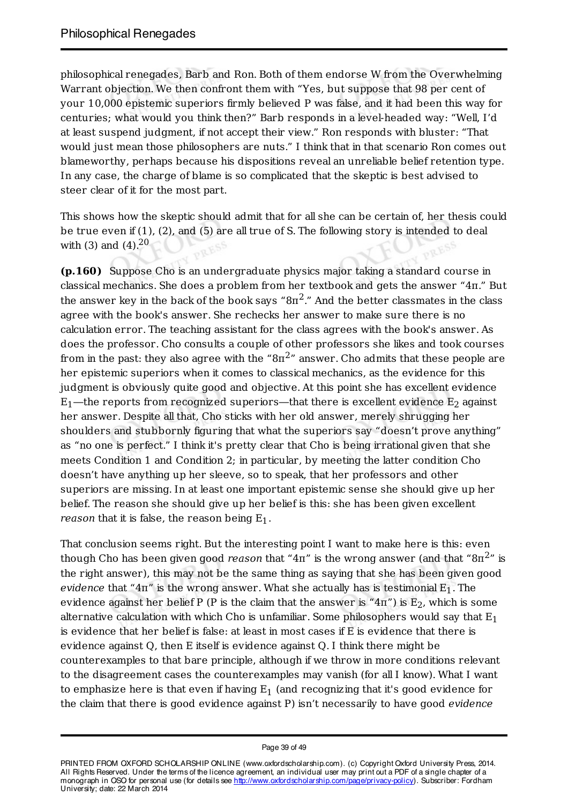philosophical renegades, Barb and Ron. Both of them endorse W from the Overwhelming Warrant objection. We then confront them with "Yes, but suppose that 98 per cent of your 10,000 epistemic superiors firmly believed P was false, and it had been this way for centuries; what would you think then?" Barb responds in a level-headed way: "Well, I'd at least suspend judgment, if not accept their view." Ron responds with bluster: "That would just mean those philosophers are nuts." I think that in that scenario Ron comes out blameworthy, perhaps because his dispositions reveal an unreliable belief retention type. In any case, the charge of blame is so complicated that the skeptic is best advised to steer clear of it for the most part.

This shows how the skeptic should admit that for all she can be certain of, her thesis could be true even if (1), (2), and (5) are all true of S. The following story is intended to deal with (3) and  $(4).^{20}$ 

**(p.160)** Suppose Cho is an undergraduate physics major taking a standard course in classical mechanics. She does a problem from her textbook and gets the answer "4π." But the answer key in the back of the book says "8 $\pi^2$ ." And the better classmates in the class agree with the book's answer. She rechecks her answer to make sure there is no calculation error. The teaching assistant for the class agrees with the book's answer. As does the professor. Cho consults a couple of other professors she likes and took courses from in the past: they also agree with the " $8\pi^2$ " answer. Cho admits that these people are her epistemic superiors when it comes to classical mechanics, as the evidence for this judgment is obviously quite good and objective. At this point she has excellent evidence  $E_1$ —the reports from recognized superiors—that there is excellent evidence  $E_2$  against her answer. Despite all that, Cho sticks with her old answer, merely shrugging her shoulders and stubbornly figuring that what the superiors say "doesn't prove anything" as "no one is perfect." I think it's pretty clear that Cho is being irrational given that she meets Condition 1 and Condition 2; in particular, by meeting the latter condition Cho doesn't have anything up her sleeve, so to speak, that her professors and other superiors are missing. In at least one important epistemic sense she should give up her belief. The reason she should give up her belief is this: she has been given excellent reason that it is false, the reason being  $E_1$ .

That conclusion seems right. But the interesting point I want to make here is this: even though Cho has been given good *reason* that "4π" is the wrong answer (and that "8π<sup>2</sup>" is the right answer), this may not be the same thing as saying that she has been given good evidence that " $4\pi$ " is the wrong answer. What she actually has is testimonial  $E_1$ . The evidence against her belief P (P is the claim that the answer is " $4\pi$ ") is  $E_2$ , which is some alternative calculation with which Cho is unfamiliar. Some philosophers would say that  $E_1$ is evidence that her belief is false: at least in most cases if E is evidence that there is evidence against Q, then E itself is evidence against Q. I think there might be counterexamples to that bare principle, although if we throw in more conditions relevant to the disagreement cases the counterexamples may vanish (for all I know). What I want to emphasize here is that even if having  $E_1$  (and recognizing that it's good evidence for the claim that there is good evidence against P) isn't necessarily to have good evidence

PRINTED FROM OXFORD SCHOLARSHIP ONLINE (www.oxfordscholarship.com). (c) Copyright Oxford University Press, 2014. All Rights Reserved. Under the terms of the licence agreement, an individual user may print out a PDF of a single chapter of a monograph in OSO for personal use (for details see http://www.oxfordscholarship.com/page/privacy-policy). Subscriber: Fordham University; date: 22 March 2014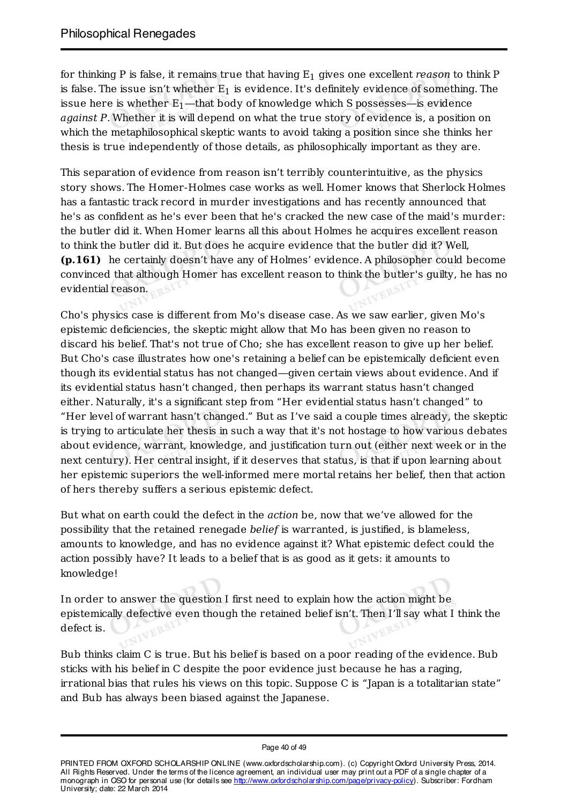for thinking P is false, it remains true that having  $E_1$  gives one excellent reason to think P is false. The issue isn't whether  $E_1$  is evidence. It's definitely evidence of something. The issue here is whether  $E_1$ —that body of knowledge which S possesses—is evidence against P. Whether it is will depend on what the true story of evidence is, a position on which the metaphilosophical skeptic wants to avoid taking a position since she thinks her thesis is true independently of those details, as philosophically important as they are.

This separation of evidence from reason isn't terribly counterintuitive, as the physics story shows. The Homer-Holmes case works as well. Homer knows that Sherlock Holmes has a fantastic track record in murder investigations and has recently announced that he's as confident as he's ever been that he's cracked the new case of the maid's murder: the butler did it. When Homer learns all this about Holmes he acquires excellent reason to think the butler did it. But does he acquire evidence that the butler did it? Well, **(p.161)** he certainly doesn't have any of Holmes' evidence. A philosopher could become convinced that although Homer has excellent reason to think the butler's guilty, he has no evidential reason.

Cho's physics case is different from Mo's disease case. As we saw earlier, given Mo's epistemic deficiencies, the skeptic might allow that Mo has been given no reason to discard his belief. That's not true of Cho; she has excellent reason to give up her belief. But Cho's case illustrates how one's retaining a belief can be epistemically deficient even though its evidential status has not changed—given certain views about evidence. And if its evidential status hasn't changed, then perhaps its warrant status hasn't changed either. Naturally, it's a significant step from "Her evidential status hasn't changed" to "Her level of warrant hasn't changed." But as I've said a couple times already, the skeptic is trying to articulate her thesis in such a way that it's not hostage to how various debates about evidence, warrant, knowledge, and justification turn out (either next week or in the next century). Her central insight, if it deserves that status, is that if upon learning about her epistemic superiors the well-informed mere mortal retains her belief, then that action of hers thereby suffers a serious epistemic defect.

But what on earth could the defect in the action be, now that we've allowed for the possibility that the retained renegade belief is warranted, is justified, is blameless, amounts to knowledge, and has no evidence against it? What epistemic defect could the action possibly have? It leads to a belief that is as good as it gets: it amounts to knowledge!

In order to answer the question I first need to explain how the action might be epistemically defective even though the retained belief isn't. Then I'll say what I think the defect is.

Bub thinks claim C is true. But his belief is based on a poor reading of the evidence. Bub sticks with his belief in C despite the poor evidence just because he has a raging, irrational bias that rules his views on this topic. Suppose C is "Japan is a totalitarian state" and Bub has always been biased against the Japanese.

PRINTED FROM OXFORD SCHOLARSHIP ONLINE (www.oxfordscholarship.com). (c) Copyright Oxford University Press, 2014. All Rights Reserved. Under the terms of the licence agreement, an individual user may print out a PDF of a single chapter of a monograph in OSO for personal use (for details see http://www.oxfordscholarship.com/page/privacy-policy). Subscriber: Fordham University; date: 22 March 2014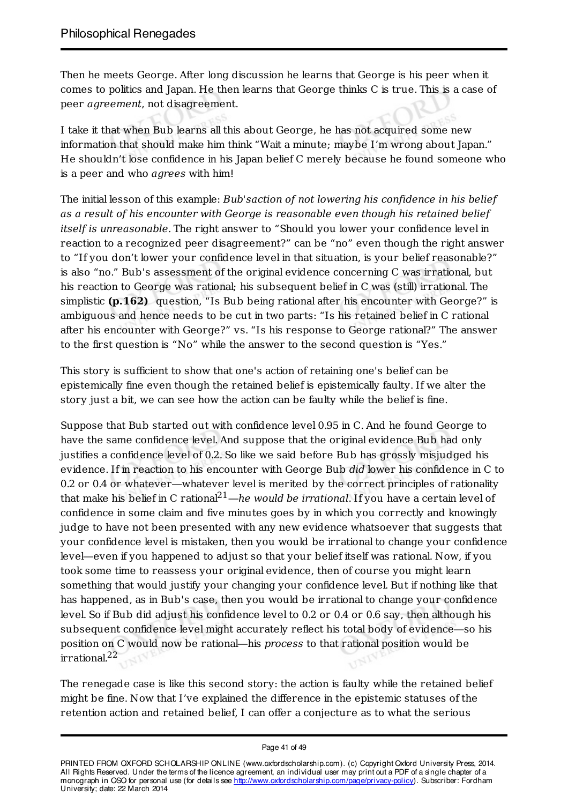Then he meets George. After long discussion he learns that George is his peer when it comes to politics and Japan. He then learns that George thinks C is true. This is a case of peer agreement, not disagreement.

I take it that when Bub learns all this about George, he has not acquired some new information that should make him think "Wait a minute; maybe I'm wrong about Japan." He shouldn't lose confidence in his Japan belief C merely because he found someone who is a peer and who agrees with him!

The initial lesson of this example: Bub'saction of not lowering his confidence in his belief as a result of his encounter with George is reasonable even though his retained belief itself is unreasonable. The right answer to "Should you lower your confidence level in reaction to a recognized peer disagreement?" can be "no" even though the right answer to "If you don't lower your confidence level in that situation, is your belief reasonable?" is also "no." Bub's assessment of the original evidence concerning C was irrational, but his reaction to George was rational; his subsequent belief in C was (still) irrational. The simplistic **(p.162)** question, "Is Bub being rational after his encounter with George?" is ambiguous and hence needs to be cut in two parts: "Is his retained belief in C rational after his encounter with George?" vs. "Is his response to George rational?" The answer to the first question is "No" while the answer to the second question is "Yes."

This story is sufficient to show that one's action of retaining one's belief can be epistemically fine even though the retained belief is epistemically faulty. If we alter the story just a bit, we can see how the action can be faulty while the belief is fine.

Suppose that Bub started out with confidence level 0.95 in C. And he found George to have the same confidence level. And suppose that the original evidence Bub had only justifies a confidence level of 0.2. So like we said before Bub has grossly misjudged his evidence. If in reaction to his encounter with George Bub did lower his confidence in C to 0.2 or 0.4 or whatever—whatever level is merited by the correct principles of rationality that make his belief in C rational $^{21}-$ he would be irrational. If you have a certain level of confidence in some claim and five minutes goes by in which you correctly and knowingly judge to have not been presented with any new evidence whatsoever that suggests that your confidence level is mistaken, then you would be irrational to change your confidence level—even if you happened to adjust so that your belief itself was rational. Now, if you took some time to reassess your original evidence, then of course you might learn something that would justify your changing your confidence level. But if nothing like that has happened, as in Bub's case, then you would be irrational to change your confidence level. So if Bub did adjust his confidence level to 0.2 or 0.4 or 0.6 say, then although his subsequent confidence level might accurately reflect his total body of evidence—so his position on C would now be rational—his process to that rational position would be irrational. 22

The renegade case is like this second story: the action is faulty while the retained belief might be fine. Now that I've explained the difference in the epistemic statuses of the retention action and retained belief, I can offer a conjecture as to what the serious

#### Page 41 of 49

PRINTED FROM OXFORD SCHOLARSHIP ONLINE (www.oxfordscholarship.com). (c) Copyright Oxford University Press, 2014. All Rights Reserved. Under the terms of the licence agreement, an individual user may print out a PDF of a single chapter of a monograph in OSO for personal use (for details see http://www.oxfordscholarship.com/page/privacy-policy). Subscriber: Fordham University; date: 22 March 2014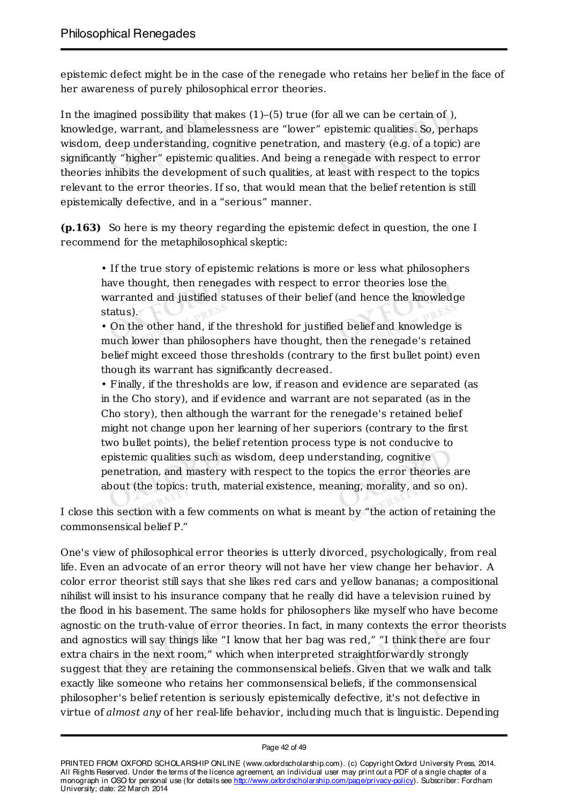epistemic defect might be in the case of the renegade who retains her belief in the face of her awareness of purely philosophical error theories.

In the imagined possibility that makes  $(1)$ – $(5)$  true (for all we can be certain of ), knowledge, warrant, and blamelessness are "lower" epistemic qualities. So, perhaps wisdom, deep understanding, cognitive penetration, and mastery (e.g. of a topic) are significantly "higher" epistemic qualities. And being a renegade with respect to error theories inhibits the development of such qualities, at least with respect to the topics relevant to the error theories. If so, that would mean that the belief retention is still epistemically defective, and in a "serious" manner.

**(p.163)** So here is my theory regarding the epistemic defect in question, the one I recommend for the metaphilosophical skeptic:

• If the true story of epistemic relations is more or less what philosophers have thought, then renegades with respect to error theories lose the warranted and justified statuses of their belief (and hence the knowledge status).

• On the other hand, if the threshold for justified belief and knowledge is much lower than philosophers have thought, then the renegade's retained belief might exceed those thresholds (contrary to the first bullet point) even though its warrant has significantly decreased.

• Finally, if the thresholds are low, if reason and evidence are separated (as in the Cho story), and if evidence and warrant are not separated (as in the Cho story), then although the warrant for the renegade's retained belief might not change upon her learning of her superiors (contrary to the first two bullet points), the belief retention process type is not conducive to epistemic qualities such as wisdom, deep understanding, cognitive penetration, and mastery with respect to the topics the error theories are about (the topics: truth, material existence, meaning, morality, and so on).

I close this section with a few comments on what is meant by "the action of retaining the commonsensical belief P."

One's view of philosophical error theories is utterly divorced, psychologically, from real life. Even an advocate of an error theory will not have her view change her behavior. A color error theorist still says that she likes red cars and yellow bananas; a compositional nihilist will insist to his insurance company that he really did have a television ruined by the flood in his basement. The same holds for philosophers like myself who have become agnostic on the truth-value of error theories. In fact, in many contexts the error theorists and agnostics will say things like "I know that her bag was red," "I think there are four extra chairs in the next room," which when interpreted straightforwardly strongly suggest that they are retaining the commonsensical beliefs. Given that we walk and talk exactly like someone who retains her commonsensical beliefs, if the commonsensical philosopher's belief retention is seriously epistemically defective, it's not defective in virtue of almost any of her real-life behavior, including much that is linguistic. Depending

PRINTED FROM OXFORD SCHOLARSHIP ONLINE (www.oxfordscholarship.com). (c) Copyright Oxford University Press, 2014. All Rights Reserved. Under the terms of the licence agreement, an individual user may print out a PDF of a single chapter of a monograph in OSO for personal use (for details see http://www.oxfordscholarship.com/page/privacy-policy). Subscriber: Fordham University; date: 22 March 2014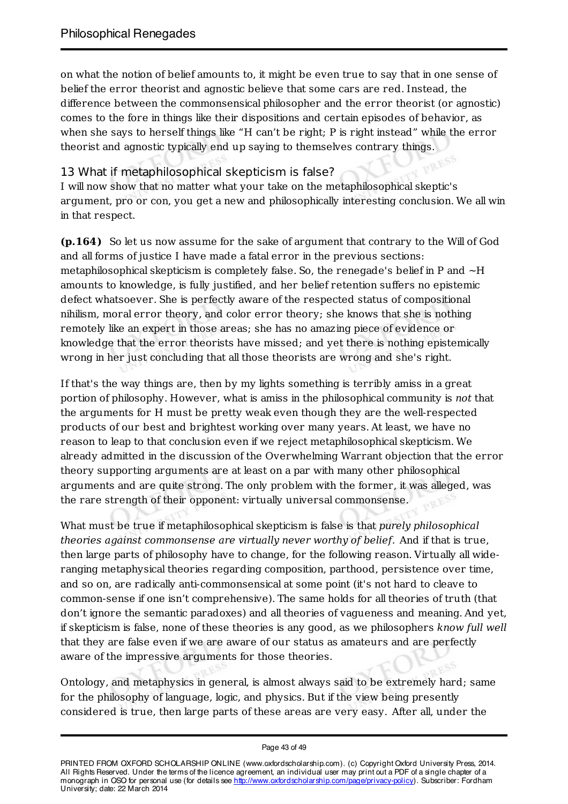on what the notion of belief amounts to, it might be even true to say that in one sense of belief the error theorist and agnostic believe that some cars are red. Instead, the difference between the commonsensical philosopher and the error theorist (or agnostic) comes to the fore in things like their dispositions and certain episodes of behavior, as when she says to herself things like "H can't be right; P is right instead" while the error theorist and agnostic typically end up saying to themselves contrary things.

## 13 What if metaphilosophical skepticism is false?

I will now show that no matter what your take on the metaphilosophical skeptic's argument, pro or con, you get a new and philosophically interesting conclusion. We all win in that respect.

**(p.164)** So let us now assume for the sake of argument that contrary to the Will of God and all forms of justice I have made a fatal error in the previous sections: metaphilosophical skepticism is completely false. So, the renegade's belief in P and  $\sim$ H amounts to knowledge, is fully justified, and her belief retention suffers no epistemic defect whatsoever. She is perfectly aware of the respected status of compositional nihilism, moral error theory, and color error theory; she knows that she is nothing remotely like an expert in those areas; she has no amazing piece of evidence or knowledge that the error theorists have missed; and yet there is nothing epistemically wrong in her just concluding that all those theorists are wrong and she's right.

If that's the way things are, then by my lights something is terribly amiss in a great portion of philosophy. However, what is amiss in the philosophical community is not that the arguments for H must be pretty weak even though they are the well-respected products of our best and brightest working over many years. At least, we have no reason to leap to that conclusion even if we reject metaphilosophical skepticism. We already admitted in the discussion of the Overwhelming Warrant objection that the error theory supporting arguments are at least on a par with many other philosophical arguments and are quite strong. The only problem with the former, it was alleged, was the rare strength of their opponent: virtually universal commonsense.

What must be true if metaphilosophical skepticism is false is that *purely philosophical* theories against commonsense are virtually never worthy of belief. And if that is true, then large parts of philosophy have to change, for the following reason. Virtually all wideranging metaphysical theories regarding composition, parthood, persistence over time, and so on, are radically anti-commonsensical at some point (it's not hard to cleave to common-sense if one isn't comprehensive). The same holds for all theories of truth (that don't ignore the semantic paradoxes) and all theories of vagueness and meaning. And yet, if skepticism is false, none of these theories is any good, as we philosophers know full well that they are false even if we are aware of our status as amateurs and are perfectly aware of the impressive arguments for those theories.

Ontology, and metaphysics in general, is almost always said to be extremely hard; same for the philosophy of language, logic, and physics. But if the view being presently considered is true, then large parts of these areas are very easy. After all, under the

#### Page 43 of 49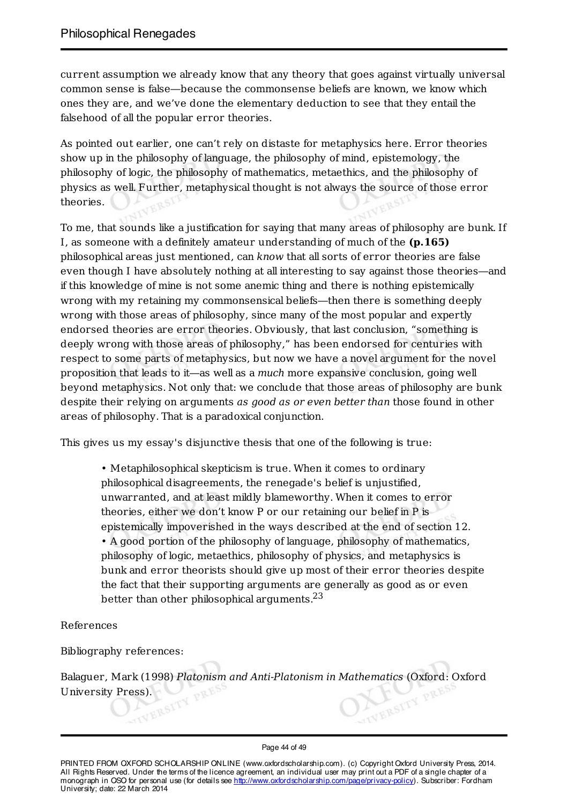current assumption we already know that any theory that goes against virtually universal common sense is false—because the commonsense beliefs are known, we know which ones they are, and we've done the elementary deduction to see that they entail the falsehood of all the popular error theories.

As pointed out earlier, one can't rely on distaste for metaphysics here. Error theories show up in the philosophy of language, the philosophy of mind, epistemology, the philosophy of logic, the philosophy of mathematics, metaethics, and the philosophy of physics as well. Further, metaphysical thought is not always the source of those error theories.

To me, that sounds like a justification for saying that many areas of philosophy are bunk. If I, as someone with a definitely amateur understanding of much of the **(p.165)** philosophical areas just mentioned, can know that all sorts of error theories are false even though I have absolutely nothing at all interesting to say against those theories—and if this knowledge of mine is not some anemic thing and there is nothing epistemically wrong with my retaining my commonsensical beliefs—then there is something deeply wrong with those areas of philosophy, since many of the most popular and expertly endorsed theories are error theories. Obviously, that last conclusion, "something is deeply wrong with those areas of philosophy," has been endorsed for centuries with respect to some parts of metaphysics, but now we have a novel argument for the novel proposition that leads to it—as well as a much more expansive conclusion, going well beyond metaphysics. Not only that: we conclude that those areas of philosophy are bunk despite their relying on arguments as good as or even better than those found in other areas of philosophy. That is a paradoxical conjunction.

This gives us my essay's disjunctive thesis that one of the following is true:

• Metaphilosophical skepticism is true. When it comes to ordinary philosophical disagreements, the renegade's belief is unjustified, unwarranted, and at least mildly blameworthy. When it comes to error theories, either we don't know P or our retaining our belief in P is epistemically impoverished in the ways described at the end of section 12. • A good portion of the philosophy of language, philosophy of mathematics, philosophy of logic, metaethics, philosophy of physics, and metaphysics is bunk and error theorists should give up most of their error theories despite the fact that their supporting arguments are generally as good as or even better than other philosophical arguments. $^{23}$ 

### References

Bibliography references:

Balaguer, Mark (1998) Platonism and Anti-Platonism in Mathematics (Oxford: Oxford University Press).XEORESS **OILESS** 

Page 44 of 49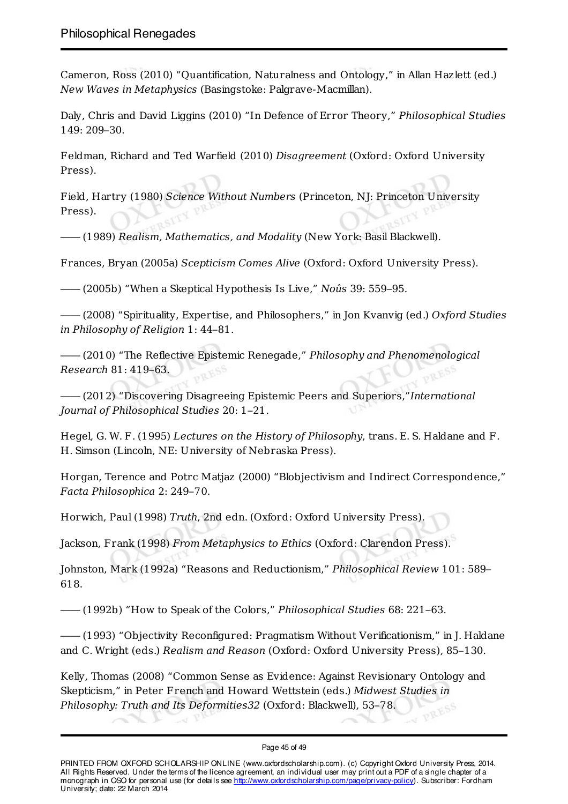Cameron, Ross (2010) "Quantification, Naturalness and Ontology," in Allan Hazlett (ed.) New Waves in Metaphysics (Basingstoke: Palgrave-Macmillan).

Daly, Chris and David Liggins (2010) "In Defence of Error Theory," Philosophical Studies 149: 209–30.

Feldman, Richard and Ted Warfield (2010) Disagreement (Oxford: Oxford University Press).

Field, Hartry (1980) Science Without Numbers (Princeton, NJ: Princeton University Press).

—— (1989) Realism, Mathematics, and Modality (New York: Basil Blackwell).

Frances, Bryan (2005a) Scepticism Comes Alive (Oxford: Oxford University Press).

—— (2005b) "When a Skeptical Hypothesis Is Live," Noûs 39: 559–95.

—— (2008) "Spirituality, Expertise, and Philosophers," in Jon Kvanvig (ed.) Oxford Studies in Philosophy of Religion 1: 44–81.

—— (2010) "The Reflective Epistemic Renegade," Philosophy and Phenomenological Research 81: 419–63.

—— (2012) "Discovering Disagreeing Epistemic Peers and Superiors,"International Journal of Philosophical Studies 20: 1–21.

Hegel, G. W. F. (1995) Lectures on the History of Philosophy, trans. E. S. Haldane and F. H. Simson (Lincoln, NE: University of Nebraska Press).

Horgan, Terence and Potrc Matjaz (2000) "Blobjectivism and Indirect Correspondence," Facta Philosophica 2: 249–70.

Horwich, Paul (1998) Truth, 2nd edn. (Oxford: Oxford University Press).

Jackson, Frank (1998) From Metaphysics to Ethics (Oxford: Clarendon Press).

Johnston, Mark (1992a) "Reasons and Reductionism," Philosophical Review 101: 589– 618.

—— (1992b) "How to Speak of the Colors," Philosophical Studies 68: 221–63.

—— (1993) "Objectivity Reconfigured: Pragmatism Without Verificationism," in J. Haldane and C. Wright (eds.) Realism and Reason (Oxford: Oxford University Press), 85–130.

Kelly, Thomas (2008) "Common Sense as Evidence: Against Revisionary Ontology and Skepticism," in Peter French and Howard Wettstein (eds.) Midwest Studies in Philosophy: Truth and Its Deformities32 (Oxford: Blackwell), 53–78.

Page 45 of 49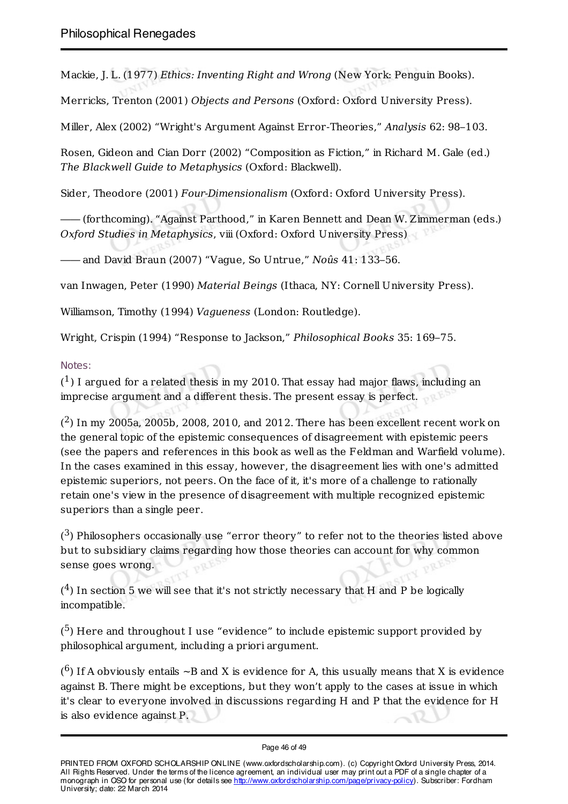Mackie, J. L. (1977) Ethics: Inventing Right and Wrong (New York: Penguin Books).

Merricks, Trenton (2001) Objects and Persons (Oxford: Oxford University Press).

Miller, Alex (2002) "Wright's Argument Against Error-Theories," Analysis 62: 98–103.

Rosen, Gideon and Cian Dorr (2002) "Composition as Fiction," in Richard M. Gale (ed.) The Blackwell Guide to Metaphysics (Oxford: Blackwell).

Sider, Theodore (2001) Four-Dimensionalism (Oxford: Oxford University Press).

—— (forthcoming). "Against Parthood," in Karen Bennett and Dean W. Zimmerman (eds.) PRESS Oxford Studies in Metaphysics, viii (Oxford: Oxford University Press)

—— and David Braun (2007) "Vague, So Untrue," Noûs 41: 133–56.

van Inwagen, Peter (1990) Material Beings (Ithaca, NY: Cornell University Press).

Williamson, Timothy (1994) Vagueness (London: Routledge).

Wright, Crispin (1994) "Response to Jackson," Philosophical Books 35: 169–75.

Notes:

 $(1)$  I argued for a related thesis in my 2010. That essay had major flaws, including an imprecise argument and a different thesis. The present essay is perfect.

 $(2)$  In my 2005a, 2005b, 2008, 2010, and 2012. There has been excellent recent work on the general topic of the epistemic consequences of disagreement with epistemic peers (see the papers and references in this book as well as the Feldman and Warfield volume). In the cases examined in this essay, however, the disagreement lies with one's admitted epistemic superiors, not peers. On the face of it, it's more of a challenge to rationally retain one's view in the presence of disagreement with multiple recognized epistemic superiors than a single peer.

 $(3)$  Philosophers occasionally use "error theory" to refer not to the theories listed above but to subsidiary claims regarding how those theories can account for why common sense goes wrong.

 $(4)$  In section 5 we will see that it's not strictly necessary that H and P be logically incompatible.

 $(5)$  Here and throughout I use "evidence" to include epistemic support provided by philosophical argument, including a priori argument.

(<sup>6</sup>) If A obviously entails  $\sim$ B and X is evidence for A, this usually means that X is evidence against B. There might be exceptions, but they won't apply to the cases at issue in which it's clear to everyone involved in discussions regarding H and P that the evidence for H is also evidence against P.

#### Page 46 of 49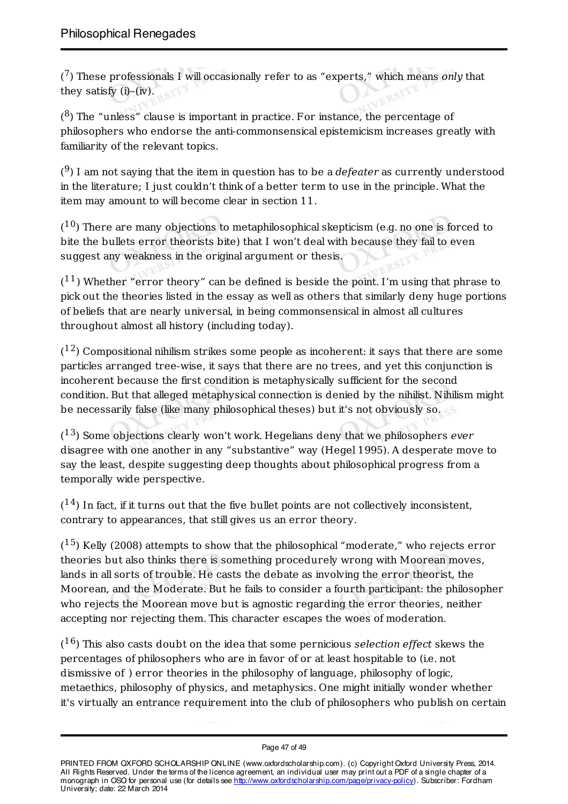$(7)$  These professionals I will occasionally refer to as "experts," which means only that they satisfy  $(i)$ – $(iv)$ .

 $(8)$  The "unless" clause is important in practice. For instance, the percentage of philosophers who endorse the anti-commonsensical epistemicism increases greatly with familiarity of the relevant topics.

 $(9)$  I am not saying that the item in question has to be a *defeater* as currently understood in the literature; I just couldn't think of a better term to use in the principle. What the item may amount to will become clear in section 11.

 $(1<sup>0</sup>)$  There are many objections to metaphilosophical skepticism (e.g. no one is forced to bite the bullets error theorists bite) that I won't deal with because they fail to even suggest any weakness in the original argument or thesis.

 $(1)$  Whether "error theory" can be defined is beside the point. I'm using that phrase to pick out the theories listed in the essay as well as others that similarly deny huge portions of beliefs that are nearly universal, in being commonsensical in almost all cultures throughout almost all history (including today).

 $(1<sup>2</sup>)$  Compositional nihilism strikes some people as incoherent: it says that there are some particles arranged tree-wise, it says that there are no trees, and yet this conjunction is incoherent because the first condition is metaphysically sufficient for the second condition. But that alleged metaphysical connection is denied by the nihilist. Nihilism might be necessarily false (like many philosophical theses) but it's not obviously so.

 $(1<sup>3</sup>)$  Some objections clearly won't work. Hegelians deny that we philosophers ever disagree with one another in any "substantive" way (Hegel 1995). A desperate move to say the least, despite suggesting deep thoughts about philosophical progress from a temporally wide perspective.

 $(1<sup>4</sup>)$  In fact, if it turns out that the five bullet points are not collectively inconsistent, contrary to appearances, that still gives us an error theory.

 $(1<sup>5</sup>)$  Kelly (2008) attempts to show that the philosophical "moderate," who rejects error theories but also thinks there is something procedurely wrong with Moorean moves, lands in all sorts of trouble. He casts the debate as involving the error theorist, the Moorean, and the Moderate. But he fails to consider a fourth participant: the philosopher who rejects the Moorean move but is agnostic regarding the error theories, neither accepting nor rejecting them. This character escapes the woes of moderation.

 $(1<sup>6</sup>)$  This also casts doubt on the idea that some pernicious *selection effect* skews the percentages of philosophers who are in favor of or at least hospitable to (i.e. not dismissive of ) error theories in the philosophy of language, philosophy of logic, metaethics, philosophy of physics, and metaphysics. One might initially wonder whether it's virtually an entrance requirement into the club of philosophers who publish on certain

PRINTED FROM OXFORD SCHOLARSHIP ONLINE (www.oxfordscholarship.com). (c) Copyright Oxford University Press, 2014. All Rights Reserved. Under the terms of the licence agreement, an individual user may print out a PDF of a single chapter of a monograph in OSO for personal use (for details see http://www.oxfordscholarship.com/page/privacy-policy). Subscriber: Fordham University; date: 22 March 2014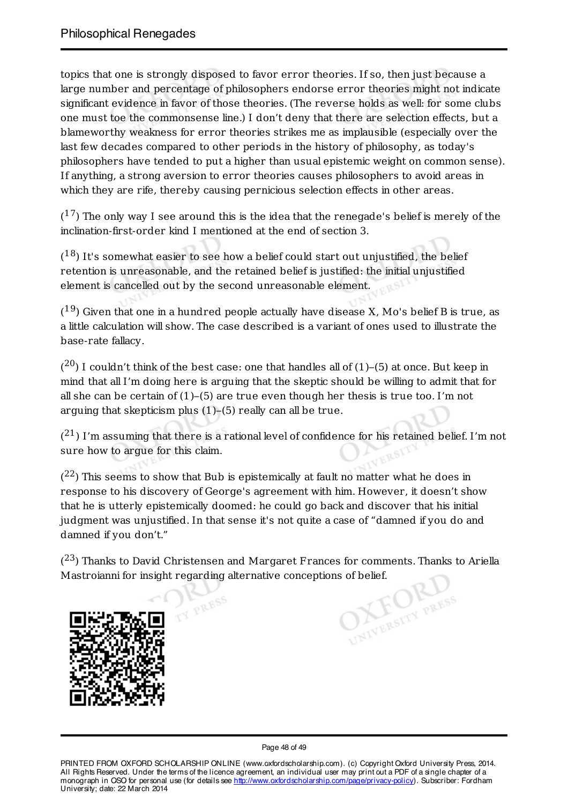topics that one is strongly disposed to favor error theories. If so, then just because a large number and percentage of philosophers endorse error theories might not indicate significant evidence in favor of those theories. (The reverse holds as well: for some clubs one must toe the commonsense line.) I don't deny that there are selection effects, but a blameworthy weakness for error theories strikes me as implausible (especially over the last few decades compared to other periods in the history of philosophy, as today's philosophers have tended to put a higher than usual epistemic weight on common sense). If anything, a strong aversion to error theories causes philosophers to avoid areas in which they are rife, thereby causing pernicious selection effects in other areas.

 $(17)$  The only way I see around this is the idea that the renegade's belief is merely of the inclination-first-order kind I mentioned at the end of section 3.

 $(18)$  It's somewhat easier to see how a belief could start out unjustified, the belief retention is unreasonable, and the retained belief is justified: the initial unjustified element is cancelled out by the second unreasonable element.

 $(19)$  Given that one in a hundred people actually have disease X, Mo's belief B is true, as a little calculation will show. The case described is a variant of ones used to illustrate the base-rate fallacy.

 $(2<sup>0</sup>)$  I couldn't think of the best case: one that handles all of (1)–(5) at once. But keep in mind that all I'm doing here is arguing that the skeptic should be willing to admit that for all she can be certain of  $(1)$ – $(5)$  are true even though her thesis is true too. I'm not arguing that skepticism plus (1)–(5) really can all be true.

 $(2^1)$  I'm assuming that there is a rational level of confidence for his retained belief. I'm not sure how to argue for this claim.

 $(2<sup>2</sup>)$  This seems to show that Bub is epistemically at fault no matter what he does in response to his discovery of George's agreement with him. However, it doesn't show that he is utterly epistemically doomed: he could go back and discover that his initial judgment was unjustified. In that sense it's not quite a case of "damned if you do and damned if you don't."

 $(2<sup>3</sup>)$  Thanks to David Christensen and Margaret Frances for comments. Thanks to Ariella Mastroianni for insight regarding alternative conceptions of belief.



UNIVERSITY PRESS

Page 48 of 49